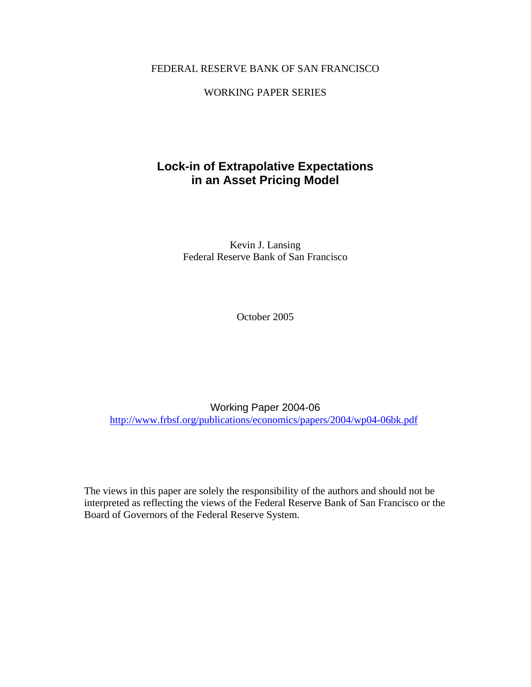### FEDERAL RESERVE BANK OF SAN FRANCISCO

### WORKING PAPER SERIES

## **Lock-in of Extrapolative Expectations in an Asset Pricing Model**

Kevin J. Lansing Federal Reserve Bank of San Francisco

October 2005

Working Paper 2004-06 http://www.frbsf.org/publications/economics/papers/2004/wp04-06bk.pdf

The views in this paper are solely the responsibility of the authors and should not be interpreted as reflecting the views of the Federal Reserve Bank of San Francisco or the Board of Governors of the Federal Reserve System.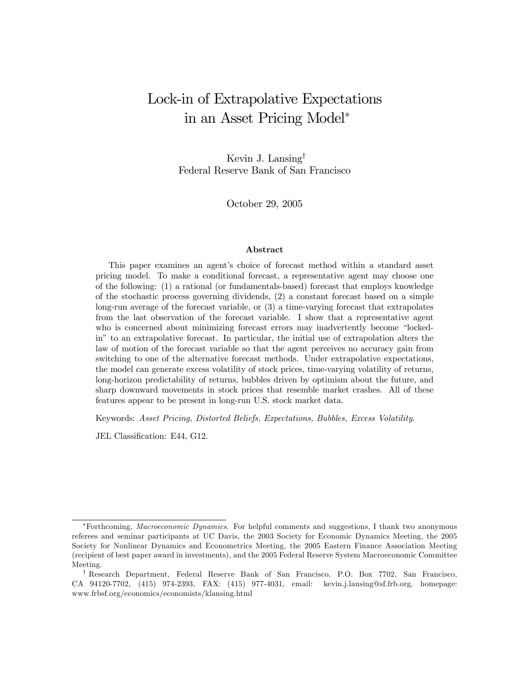# Lock-in of Extrapolative Expectations in an Asset Pricing Model<sup>∗</sup>

Kevin J. Lansing† Federal Reserve Bank of San Francisco

October 29, 2005

#### Abstract

This paper examines an agent's choice of forecast method within a standard asset pricing model. To make a conditional forecast, a representative agent may choose one of the following: (1) a rational (or fundamentals-based) forecast that employs knowledge of the stochastic process governing dividends, (2) a constant forecast based on a simple long-run average of the forecast variable, or (3) a time-varying forecast that extrapolates from the last observation of the forecast variable. I show that a representative agent who is concerned about minimizing forecast errors may inadvertently become "lockedin" to an extrapolative forecast. In particular, the initial use of extrapolation alters the law of motion of the forecast variable so that the agent perceives no accuracy gain from switching to one of the alternative forecast methods. Under extrapolative expectations, the model can generate excess volatility of stock prices, time-varying volatility of returns, long-horizon predictability of returns, bubbles driven by optimism about the future, and sharp downward movements in stock prices that resemble market crashes. All of these features appear to be present in long-run U.S. stock market data.

Keywords: Asset Pricing, Distorted Beliefs, Expectations, Bubbles, Excess Volatility.

JEL Classification: E44, G12.

<sup>∗</sup>Forthcoming, Macroeconomic Dynamics. For helpful comments and suggestions, I thank two anonymous referees and seminar participants at UC Davis, the 2003 Society for Economic Dynamics Meeting, the 2005 Society for Nonlinear Dynamics and Econometrics Meeting, the 2005 Eastern Finance Association Meeting (recipient of best paper award in investments), and the 2005 Federal Reserve System Macroeconomic Committee Meeting.

<sup>†</sup> Research Department, Federal Reserve Bank of San Francisco, P.O. Box 7702, San Francisco, CA 94120-7702, (415) 974-2393, FAX: (415) 977-4031, email: kevin.j.lansing@sf.frb.org, homepage: www.frbsf.org/economics/economists/klansing.html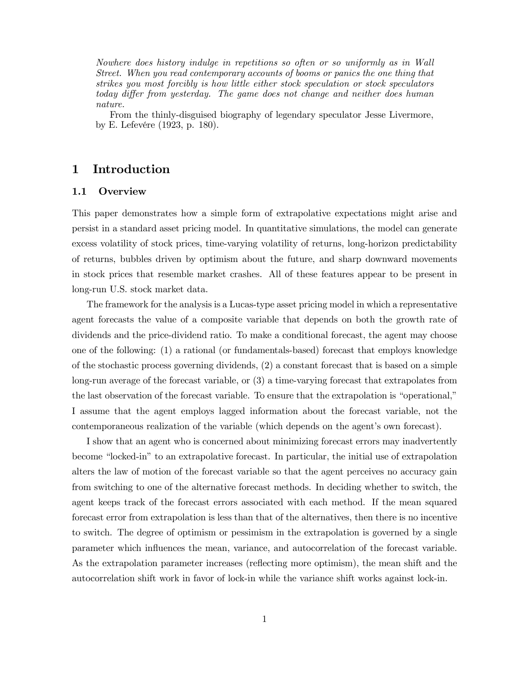Nowhere does history indulge in repetitions so often or so uniformly as in Wall Street. When you read contemporary accounts of booms or panics the one thing that strikes you most forcibly is how little either stock speculation or stock speculators today differ from yesterday. The game does not change and neither does human nature.

From the thinly-disguised biography of legendary speculator Jesse Livermore, by E. Lefevére (1923, p. 180).

### 1 Introduction

#### 1.1 Overview

This paper demonstrates how a simple form of extrapolative expectations might arise and persist in a standard asset pricing model. In quantitative simulations, the model can generate excess volatility of stock prices, time-varying volatility of returns, long-horizon predictability of returns, bubbles driven by optimism about the future, and sharp downward movements in stock prices that resemble market crashes. All of these features appear to be present in long-run U.S. stock market data.

The framework for the analysis is a Lucas-type asset pricing model in which a representative agent forecasts the value of a composite variable that depends on both the growth rate of dividends and the price-dividend ratio. To make a conditional forecast, the agent may choose one of the following: (1) a rational (or fundamentals-based) forecast that employs knowledge of the stochastic process governing dividends, (2) a constant forecast that is based on a simple long-run average of the forecast variable, or (3) a time-varying forecast that extrapolates from the last observation of the forecast variable. To ensure that the extrapolation is "operational," I assume that the agent employs lagged information about the forecast variable, not the contemporaneous realization of the variable (which depends on the agent's own forecast).

I show that an agent who is concerned about minimizing forecast errors may inadvertently become "locked-in" to an extrapolative forecast. In particular, the initial use of extrapolation alters the law of motion of the forecast variable so that the agent perceives no accuracy gain from switching to one of the alternative forecast methods. In deciding whether to switch, the agent keeps track of the forecast errors associated with each method. If the mean squared forecast error from extrapolation is less than that of the alternatives, then there is no incentive to switch. The degree of optimism or pessimism in the extrapolation is governed by a single parameter which influences the mean, variance, and autocorrelation of the forecast variable. As the extrapolation parameter increases (reflecting more optimism), the mean shift and the autocorrelation shift work in favor of lock-in while the variance shift works against lock-in.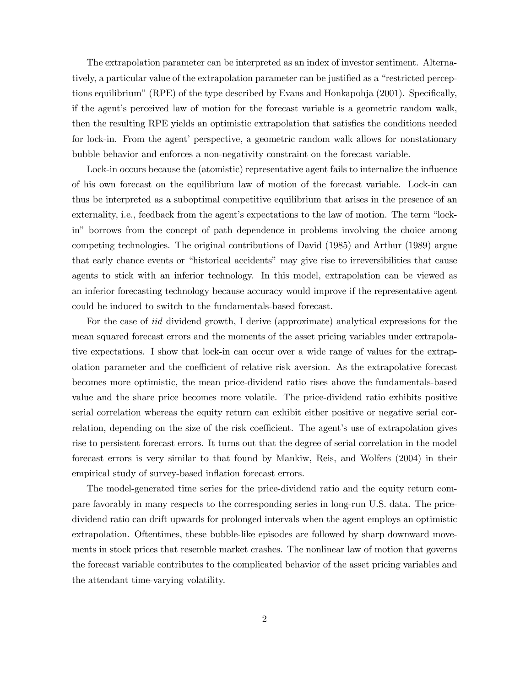The extrapolation parameter can be interpreted as an index of investor sentiment. Alternatively, a particular value of the extrapolation parameter can be justified as a "restricted perceptions equilibrium" (RPE) of the type described by Evans and Honkapohja (2001). Specifically, if the agent's perceived law of motion for the forecast variable is a geometric random walk, then the resulting RPE yields an optimistic extrapolation that satisfies the conditions needed for lock-in. From the agent' perspective, a geometric random walk allows for nonstationary bubble behavior and enforces a non-negativity constraint on the forecast variable.

Lock-in occurs because the (atomistic) representative agent fails to internalize the influence of his own forecast on the equilibrium law of motion of the forecast variable. Lock-in can thus be interpreted as a suboptimal competitive equilibrium that arises in the presence of an externality, i.e., feedback from the agent's expectations to the law of motion. The term "lockin" borrows from the concept of path dependence in problems involving the choice among competing technologies. The original contributions of David (1985) and Arthur (1989) argue that early chance events or "historical accidents" may give rise to irreversibilities that cause agents to stick with an inferior technology. In this model, extrapolation can be viewed as an inferior forecasting technology because accuracy would improve if the representative agent could be induced to switch to the fundamentals-based forecast.

For the case of *iid* dividend growth, I derive (approximate) analytical expressions for the mean squared forecast errors and the moments of the asset pricing variables under extrapolative expectations. I show that lock-in can occur over a wide range of values for the extrapolation parameter and the coefficient of relative risk aversion. As the extrapolative forecast becomes more optimistic, the mean price-dividend ratio rises above the fundamentals-based value and the share price becomes more volatile. The price-dividend ratio exhibits positive serial correlation whereas the equity return can exhibit either positive or negative serial correlation, depending on the size of the risk coefficient. The agent's use of extrapolation gives rise to persistent forecast errors. It turns out that the degree of serial correlation in the model forecast errors is very similar to that found by Mankiw, Reis, and Wolfers (2004) in their empirical study of survey-based inflation forecast errors.

The model-generated time series for the price-dividend ratio and the equity return compare favorably in many respects to the corresponding series in long-run U.S. data. The pricedividend ratio can drift upwards for prolonged intervals when the agent employs an optimistic extrapolation. Oftentimes, these bubble-like episodes are followed by sharp downward movements in stock prices that resemble market crashes. The nonlinear law of motion that governs the forecast variable contributes to the complicated behavior of the asset pricing variables and the attendant time-varying volatility.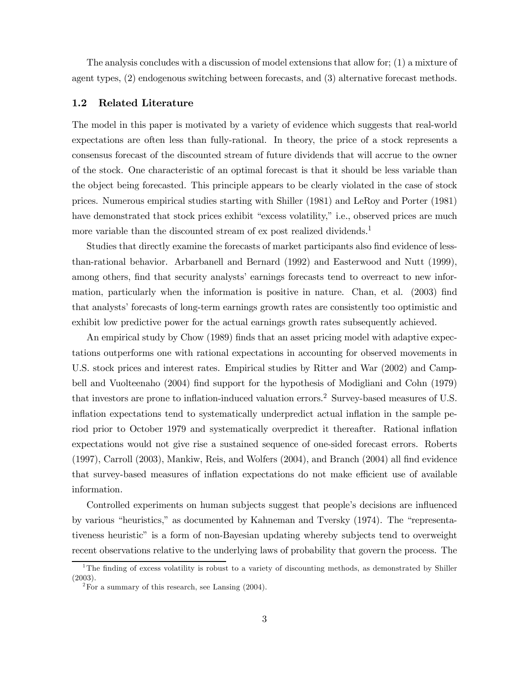The analysis concludes with a discussion of model extensions that allow for; (1) a mixture of agent types, (2) endogenous switching between forecasts, and (3) alternative forecast methods.

#### 1.2 Related Literature

The model in this paper is motivated by a variety of evidence which suggests that real-world expectations are often less than fully-rational. In theory, the price of a stock represents a consensus forecast of the discounted stream of future dividends that will accrue to the owner of the stock. One characteristic of an optimal forecast is that it should be less variable than the object being forecasted. This principle appears to be clearly violated in the case of stock prices. Numerous empirical studies starting with Shiller (1981) and LeRoy and Porter (1981) have demonstrated that stock prices exhibit "excess volatility," i.e., observed prices are much more variable than the discounted stream of  $\alpha$  post realized dividends.<sup>1</sup>

Studies that directly examine the forecasts of market participants also find evidence of lessthan-rational behavior. Arbarbanell and Bernard (1992) and Easterwood and Nutt (1999), among others, find that security analysts' earnings forecasts tend to overreact to new information, particularly when the information is positive in nature. Chan, et al. (2003) find that analysts' forecasts of long-term earnings growth rates are consistently too optimistic and exhibit low predictive power for the actual earnings growth rates subsequently achieved.

An empirical study by Chow (1989) finds that an asset pricing model with adaptive expectations outperforms one with rational expectations in accounting for observed movements in U.S. stock prices and interest rates. Empirical studies by Ritter and War (2002) and Campbell and Vuolteenaho (2004) find support for the hypothesis of Modigliani and Cohn (1979) that investors are prone to inflation-induced valuation errors.<sup>2</sup> Survey-based measures of U.S. inflation expectations tend to systematically underpredict actual inflation in the sample period prior to October 1979 and systematically overpredict it thereafter. Rational inflation expectations would not give rise a sustained sequence of one-sided forecast errors. Roberts (1997), Carroll (2003), Mankiw, Reis, and Wolfers (2004), and Branch (2004) all find evidence that survey-based measures of inflation expectations do not make efficient use of available information.

Controlled experiments on human subjects suggest that people's decisions are influenced by various "heuristics," as documented by Kahneman and Tversky (1974). The "representativeness heuristic" is a form of non-Bayesian updating whereby subjects tend to overweight recent observations relative to the underlying laws of probability that govern the process. The

<sup>&</sup>lt;sup>1</sup>The finding of excess volatility is robust to a variety of discounting methods, as demonstrated by Shiller (2003).

 $2^2$ For a summary of this research, see Lansing (2004).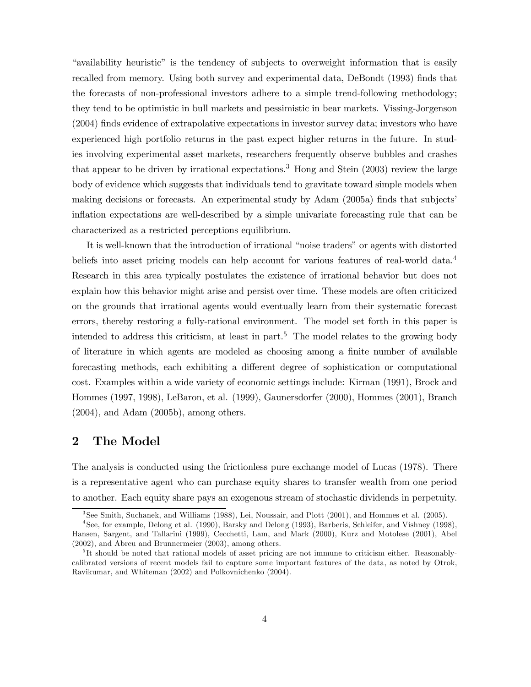"availability heuristic" is the tendency of subjects to overweight information that is easily recalled from memory. Using both survey and experimental data, DeBondt (1993) finds that the forecasts of non-professional investors adhere to a simple trend-following methodology; they tend to be optimistic in bull markets and pessimistic in bear markets. Vissing-Jorgenson (2004) finds evidence of extrapolative expectations in investor survey data; investors who have experienced high portfolio returns in the past expect higher returns in the future. In studies involving experimental asset markets, researchers frequently observe bubbles and crashes that appear to be driven by irrational expectations.<sup>3</sup> Hong and Stein  $(2003)$  review the large body of evidence which suggests that individuals tend to gravitate toward simple models when making decisions or forecasts. An experimental study by Adam (2005a) finds that subjects' inflation expectations are well-described by a simple univariate forecasting rule that can be characterized as a restricted perceptions equilibrium.

It is well-known that the introduction of irrational "noise traders" or agents with distorted beliefs into asset pricing models can help account for various features of real-world data.<sup>4</sup> Research in this area typically postulates the existence of irrational behavior but does not explain how this behavior might arise and persist over time. These models are often criticized on the grounds that irrational agents would eventually learn from their systematic forecast errors, thereby restoring a fully-rational environment. The model set forth in this paper is intended to address this criticism, at least in part.<sup>5</sup> The model relates to the growing body of literature in which agents are modeled as choosing among a finite number of available forecasting methods, each exhibiting a different degree of sophistication or computational cost. Examples within a wide variety of economic settings include: Kirman (1991), Brock and Hommes (1997, 1998), LeBaron, et al. (1999), Gaunersdorfer (2000), Hommes (2001), Branch (2004), and Adam (2005b), among others.

### 2 The Model

The analysis is conducted using the frictionless pure exchange model of Lucas (1978). There is a representative agent who can purchase equity shares to transfer wealth from one period to another. Each equity share pays an exogenous stream of stochastic dividends in perpetuity.

<sup>3</sup>See Smith, Suchanek, and Williams (1988), Lei, Noussair, and Plott (2001), and Hommes et al. (2005).

<sup>4</sup>See, for example, Delong et al. (1990), Barsky and Delong (1993), Barberis, Schleifer, and Vishney (1998), Hansen, Sargent, and Tallarini (1999), Cecchetti, Lam, and Mark (2000), Kurz and Motolese (2001), Abel (2002), and Abreu and Brunnermeier (2003), among others.

 $5$ It should be noted that rational models of asset pricing are not immune to criticism either. Reasonablycalibrated versions of recent models fail to capture some important features of the data, as noted by Otrok, Ravikumar, and Whiteman (2002) and Polkovnichenko (2004).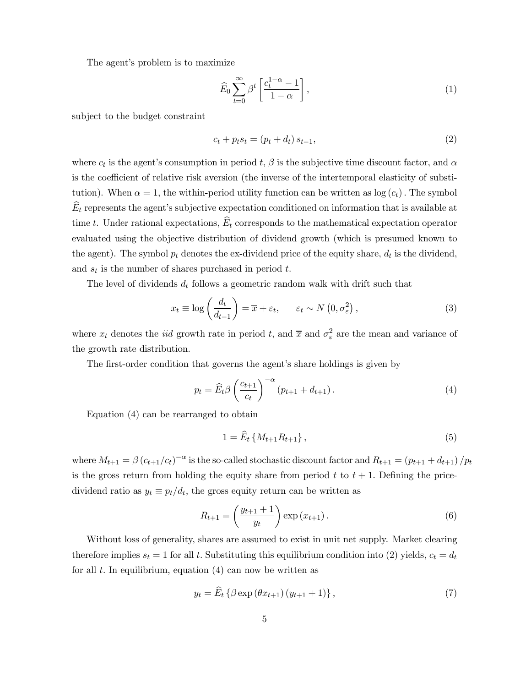The agent's problem is to maximize

$$
\widehat{E}_0 \sum_{t=0}^{\infty} \beta^t \left[ \frac{c_t^{1-\alpha} - 1}{1 - \alpha} \right],\tag{1}
$$

subject to the budget constraint

$$
c_t + p_t s_t = (p_t + d_t) s_{t-1},
$$
\n(2)

where  $c_t$  is the agent's consumption in period t,  $\beta$  is the subjective time discount factor, and  $\alpha$ is the coefficient of relative risk aversion (the inverse of the intertemporal elasticity of substitution). When  $\alpha = 1$ , the within-period utility function can be written as  $\log(c_t)$ . The symbol  $E_t$  represents the agent's subjective expectation conditioned on information that is available at time t. Under rational expectations,  $\hat{E}_t$  corresponds to the mathematical expectation operator evaluated using the objective distribution of dividend growth (which is presumed known to the agent). The symbol  $p_t$  denotes the ex-dividend price of the equity share,  $d_t$  is the dividend, and  $s_t$  is the number of shares purchased in period t.

The level of dividends  $d_t$  follows a geometric random walk with drift such that

$$
x_t \equiv \log\left(\frac{d_t}{d_{t-1}}\right) = \overline{x} + \varepsilon_t, \qquad \varepsilon_t \sim N\left(0, \sigma_\varepsilon^2\right),\tag{3}
$$

where  $x_t$  denotes the *iid* growth rate in period t, and  $\bar{x}$  and  $\sigma_{\varepsilon}^2$  are the mean and variance of the growth rate distribution.

The first-order condition that governs the agent's share holdings is given by

$$
p_t = \widehat{E}_t \beta \left(\frac{c_{t+1}}{c_t}\right)^{-\alpha} \left(p_{t+1} + d_{t+1}\right). \tag{4}
$$

Equation (4) can be rearranged to obtain

$$
1 = \widehat{E}_t \{ M_{t+1} R_{t+1} \}, \tag{5}
$$

where  $M_{t+1} = \beta (c_{t+1}/c_t)^{-\alpha}$  is the so-called stochastic discount factor and  $R_{t+1} = (p_{t+1} + d_{t+1})/p_t$ is the gross return from holding the equity share from period t to  $t + 1$ . Defining the pricedividend ratio as  $y_t \equiv p_t/d_t$ , the gross equity return can be written as

$$
R_{t+1} = \left(\frac{y_{t+1} + 1}{y_t}\right) \exp(x_{t+1}).
$$
\n(6)

Without loss of generality, shares are assumed to exist in unit net supply. Market clearing therefore implies  $s_t = 1$  for all t. Substituting this equilibrium condition into (2) yields,  $c_t = d_t$ for all  $t$ . In equilibrium, equation  $(4)$  can now be written as

$$
y_t = \dot{E}_t \left\{ \beta \exp \left( \theta x_{t+1} \right) \left( y_{t+1} + 1 \right) \right\},\tag{7}
$$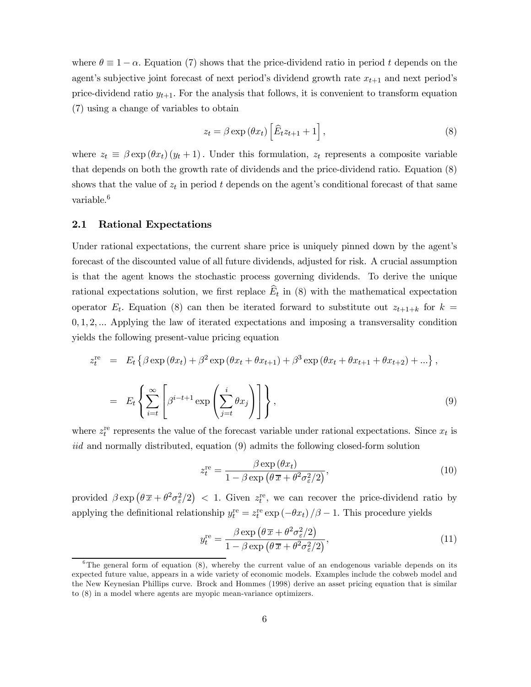where  $\theta \equiv 1 - \alpha$ . Equation (7) shows that the price-dividend ratio in period t depends on the agent's subjective joint forecast of next period's dividend growth rate  $x_{t+1}$  and next period's price-dividend ratio  $y_{t+1}$ . For the analysis that follows, it is convenient to transform equation (7) using a change of variables to obtain

$$
z_t = \beta \exp\left(\theta x_t\right) \left[\widehat{E}_t z_{t+1} + 1\right],\tag{8}
$$

where  $z_t \equiv \beta \exp(\theta x_t) (y_t + 1)$ . Under this formulation,  $z_t$  represents a composite variable that depends on both the growth rate of dividends and the price-dividend ratio. Equation (8) shows that the value of  $z_t$  in period t depends on the agent's conditional forecast of that same variable.<sup>6</sup>

#### 2.1 Rational Expectations

Under rational expectations, the current share price is uniquely pinned down by the agent's forecast of the discounted value of all future dividends, adjusted for risk. A crucial assumption is that the agent knows the stochastic process governing dividends. To derive the unique rational expectations solution, we first replace  $\hat{E}_t$  in (8) with the mathematical expectation operator  $E_t$ . Equation (8) can then be iterated forward to substitute out  $z_{t+1+k}$  for  $k =$ 0, 1, 2, ... Applying the law of iterated expectations and imposing a transversality condition yields the following present-value pricing equation

$$
z_t^{\text{re}} = E_t \left\{ \beta \exp(\theta x_t) + \beta^2 \exp(\theta x_t + \theta x_{t+1}) + \beta^3 \exp(\theta x_t + \theta x_{t+1} + \theta x_{t+2}) + \dots \right\},
$$
  

$$
= E_t \left\{ \sum_{i=t}^{\infty} \left[ \beta^{i-t+1} \exp\left(\sum_{j=t}^{i} \theta x_j\right) \right] \right\},
$$
(9)

where  $z_t^{\text{re}}$  represents the value of the forecast variable under rational expectations. Since  $x_t$  is iid and normally distributed, equation (9) admits the following closed-form solution

$$
z_t^{\text{re}} = \frac{\beta \exp(\theta x_t)}{1 - \beta \exp\left(\theta \overline{x} + \theta^2 \sigma_\varepsilon^2 / 2\right)},\tag{10}
$$

provided  $\beta \exp \left(\theta \bar{x} + \theta^2 \sigma_{\varepsilon}^2/2\right)$  < 1. Given  $z_t^{\text{re}}$ , we can recover the price-dividend ratio by applying the definitional relationship  $y_t^{\text{re}} = z_t^{\text{re}} \exp(-\theta x_t) / \beta - 1$ . This procedure yields

$$
y_t^{\text{re}} = \frac{\beta \exp\left(\theta \overline{x} + \theta^2 \sigma_\varepsilon^2 / 2\right)}{1 - \beta \exp\left(\theta \overline{x} + \theta^2 \sigma_\varepsilon^2 / 2\right)},\tag{11}
$$

 ${}^{6}$ The general form of equation (8), whereby the current value of an endogenous variable depends on its expected future value, appears in a wide variety of economic models. Examples include the cobweb model and the New Keynesian Phillips curve. Brock and Hommes (1998) derive an asset pricing equation that is similar to (8) in a model where agents are myopic mean-variance optimizers.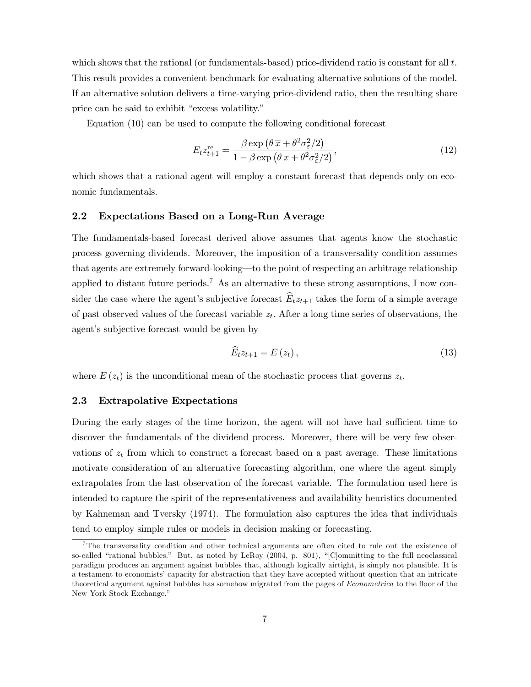which shows that the rational (or fundamentals-based) price-dividend ratio is constant for all  $t$ . This result provides a convenient benchmark for evaluating alternative solutions of the model. If an alternative solution delivers a time-varying price-dividend ratio, then the resulting share price can be said to exhibit "excess volatility."

Equation (10) can be used to compute the following conditional forecast

$$
E_t z_{t+1}^{\text{re}} = \frac{\beta \exp\left(\theta \overline{x} + \theta^2 \sigma_\varepsilon^2 / 2\right)}{1 - \beta \exp\left(\theta \overline{x} + \theta^2 \sigma_\varepsilon^2 / 2\right)},\tag{12}
$$

which shows that a rational agent will employ a constant forecast that depends only on economic fundamentals.

#### 2.2 Expectations Based on a Long-Run Average

The fundamentals-based forecast derived above assumes that agents know the stochastic process governing dividends. Moreover, the imposition of a transversality condition assumes that agents are extremely forward-looking–to the point of respecting an arbitrage relationship applied to distant future periods.<sup>7</sup> As an alternative to these strong assumptions, I now consider the case where the agent's subjective forecast  $\widehat{E}_t z_{t+1}$  takes the form of a simple average of past observed values of the forecast variable  $z_t$ . After a long time series of observations, the agent's subjective forecast would be given by

$$
\widehat{E}_t z_{t+1} = E(z_t), \qquad (13)
$$

where  $E(z_t)$  is the unconditional mean of the stochastic process that governs  $z_t$ .

#### 2.3 Extrapolative Expectations

During the early stages of the time horizon, the agent will not have had sufficient time to discover the fundamentals of the dividend process. Moreover, there will be very few observations of  $z_t$  from which to construct a forecast based on a past average. These limitations motivate consideration of an alternative forecasting algorithm, one where the agent simply extrapolates from the last observation of the forecast variable. The formulation used here is intended to capture the spirit of the representativeness and availability heuristics documented by Kahneman and Tversky (1974). The formulation also captures the idea that individuals tend to employ simple rules or models in decision making or forecasting.

<sup>&</sup>lt;sup>7</sup>The transversality condition and other technical arguments are often cited to rule out the existence of so-called "rational bubbles." But, as noted by LeRoy (2004, p. 801), "[C]ommitting to the full neoclassical paradigm produces an argument against bubbles that, although logically airtight, is simply not plausible. It is a testament to economists' capacity for abstraction that they have accepted without question that an intricate theoretical argument against bubbles has somehow migrated from the pages of Econometrica to the floor of the New York Stock Exchange."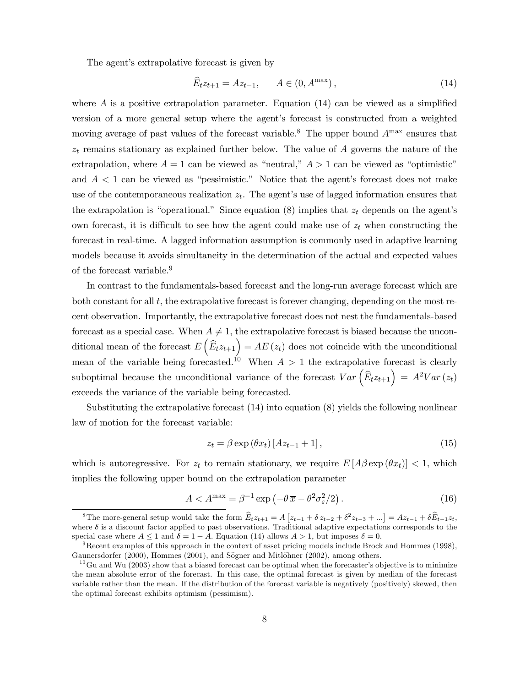The agent's extrapolative forecast is given by

$$
\widehat{E}_t z_{t+1} = A z_{t-1}, \qquad A \in (0, A^{\max}), \tag{14}
$$

where  $A$  is a positive extrapolation parameter. Equation  $(14)$  can be viewed as a simplified version of a more general setup where the agent's forecast is constructed from a weighted moving average of past values of the forecast variable.<sup>8</sup> The upper bound  $A<sup>max</sup>$  ensures that  $z_t$  remains stationary as explained further below. The value of A governs the nature of the extrapolation, where  $A = 1$  can be viewed as "neutral,"  $A > 1$  can be viewed as "optimistic" and  $A < 1$  can be viewed as "pessimistic." Notice that the agent's forecast does not make use of the contemporaneous realization  $z_t$ . The agent's use of lagged information ensures that the extrapolation is "operational." Since equation  $(8)$  implies that  $z_t$  depends on the agent's own forecast, it is difficult to see how the agent could make use of  $z_t$  when constructing the forecast in real-time. A lagged information assumption is commonly used in adaptive learning models because it avoids simultaneity in the determination of the actual and expected values of the forecast variable.<sup>9</sup>

In contrast to the fundamentals-based forecast and the long-run average forecast which are both constant for all t, the extrapolative forecast is forever changing, depending on the most recent observation. Importantly, the extrapolative forecast does not nest the fundamentals-based forecast as a special case. When  $A \neq 1$ , the extrapolative forecast is biased because the unconditional mean of the forecast  $E\left(\widehat{E}_t z_{t+1}\right) = AE(z_t)$  does not coincide with the unconditional mean of the variable being forecasted.<sup>10</sup> When  $A > 1$  the extrapolative forecast is clearly suboptimal because the unconditional variance of the forecast  $Var\left(\widehat{E}_t z_{t+1}\right) = A^2Var(z_t)$ exceeds the variance of the variable being forecasted.

Substituting the extrapolative forecast (14) into equation (8) yields the following nonlinear law of motion for the forecast variable:

$$
z_t = \beta \exp\left(\theta x_t\right) \left[A z_{t-1} + 1\right],\tag{15}
$$

which is autoregressive. For  $z_t$  to remain stationary, we require  $E[A\beta \exp(\theta x_t)] < 1$ , which implies the following upper bound on the extrapolation parameter

$$
A < A^{\max} = \beta^{-1} \exp\left(-\theta \, \overline{x} - \theta^2 \sigma_\varepsilon^2 / 2\right). \tag{16}
$$

<sup>&</sup>lt;sup>8</sup>The more-general setup would take the form  $\widehat{E}_t z_{t+1} = A \left[ z_{t-1} + \delta z_{t-2} + \delta^2 z_{t-3} + \ldots \right] = Az_{t-1} + \delta \widehat{E}_{t-1} z_t$ where δ is a discount factor applied to past observations. Traditional adaptive expectations corresponds to the special case where  $A \le 1$  and  $\delta = 1 - A$ . Equation (14) allows  $A > 1$ , but imposes  $\delta = 0$ .<br><sup>9</sup>Recent examples of this approach in the context of asset pricing models include Brock and Hommes (1998),

Gaunersdorfer (2000), Hommes (2001), and Sögner and Mitlöhner (2002), among others.

 $10$ Gu and Wu (2003) show that a biased forecast can be optimal when the forecaster's objective is to minimize the mean absolute error of the forecast. In this case, the optimal forecast is given by median of the forecast variable rather than the mean. If the distribution of the forecast variable is negatively (positively) skewed, then the optimal forecast exhibits optimism (pessimism).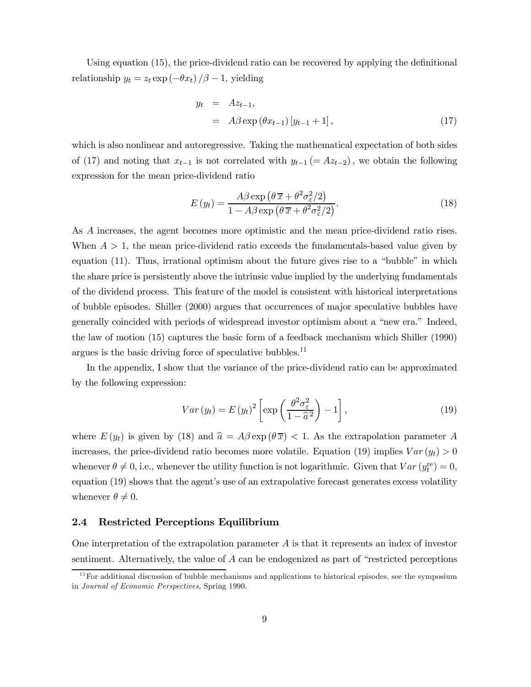Using equation (15), the price-dividend ratio can be recovered by applying the definitional relationship  $y_t = z_t \exp(-\theta x_t)/\beta - 1$ , yielding

$$
y_t = Az_{t-1},
$$
  
=  $A\beta \exp(\theta x_{t-1}) [y_{t-1} + 1],$  (17)

which is also nonlinear and autoregressive. Taking the mathematical expectation of both sides of (17) and noting that  $x_{t-1}$  is not correlated with  $y_{t-1} (= Az_{t-2})$ , we obtain the following expression for the mean price-dividend ratio

$$
E(y_t) = \frac{A\beta \exp\left(\theta \overline{x} + \theta^2 \sigma_\varepsilon^2/2\right)}{1 - A\beta \exp\left(\theta \overline{x} + \theta^2 \sigma_\varepsilon^2/2\right)}.
$$
\n(18)

As A increases, the agent becomes more optimistic and the mean price-dividend ratio rises. When  $A > 1$ , the mean price-dividend ratio exceeds the fundamentals-based value given by equation (11). Thus, irrational optimism about the future gives rise to a "bubble" in which the share price is persistently above the intrinsic value implied by the underlying fundamentals of the dividend process. This feature of the model is consistent with historical interpretations of bubble episodes. Shiller (2000) argues that occurrences of major speculative bubbles have generally coincided with periods of widespread investor optimism about a "new era." Indeed, the law of motion (15) captures the basic form of a feedback mechanism which Shiller (1990) argues is the basic driving force of speculative bubbles. $^{11}$ 

In the appendix, I show that the variance of the price-dividend ratio can be approximated by the following expression:

$$
Var(y_t) = E(y_t)^2 \left[ \exp\left(\frac{\theta^2 \sigma_{\varepsilon}^2}{1 - \widehat{a}^2}\right) - 1 \right],
$$
\n(19)

where  $E(y_t)$  is given by (18) and  $\hat{a} = A\beta \exp(\theta \overline{x}) < 1$ . As the extrapolation parameter A increases, the price-dividend ratio becomes more volatile. Equation (19) implies  $Var(y_t) > 0$ whenever  $\theta \neq 0$ , i.e., whenever the utility function is not logarithmic. Given that  $Var(y_t^{\text{re}}) = 0$ , equation (19) shows that the agent's use of an extrapolative forecast generates excess volatility whenever  $\theta \neq 0$ .

#### 2.4 Restricted Perceptions Equilibrium

One interpretation of the extrapolation parameter  $A$  is that it represents an index of investor sentiment. Alternatively, the value of A can be endogenized as part of "restricted perceptions

 $\frac{11}{11}$  For additional discussion of bubble mechanisms and applications to historical episodes, see the symposium in Journal of Economic Perspectives, Spring 1990.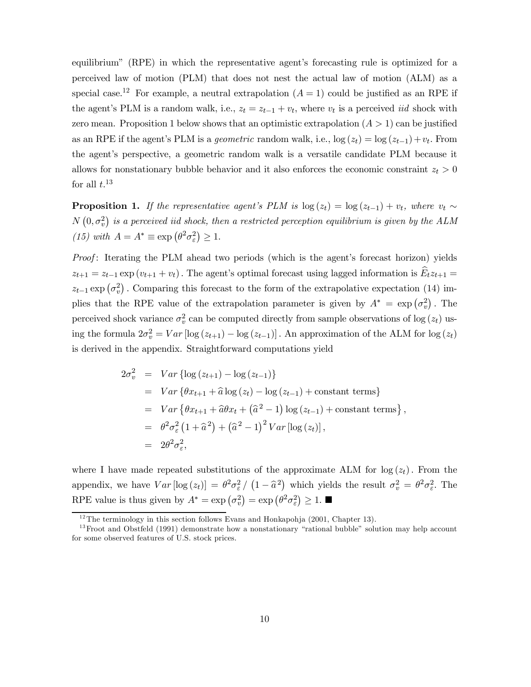equilibrium" (RPE) in which the representative agent's forecasting rule is optimized for a perceived law of motion (PLM) that does not nest the actual law of motion (ALM) as a special case.<sup>12</sup> For example, a neutral extrapolation  $(A = 1)$  could be justified as an RPE if the agent's PLM is a random walk, i.e.,  $z_t = z_{t-1} + v_t$ , where  $v_t$  is a perceived *iid* shock with zero mean. Proposition 1 below shows that an optimistic extrapolation  $(A > 1)$  can be justified as an RPE if the agent's PLM is a *geometric* random walk, i.e.,  $\log(z_t) = \log(z_{t-1}) + v_t$ . From the agent's perspective, a geometric random walk is a versatile candidate PLM because it allows for nonstationary bubble behavior and it also enforces the economic constraint  $z_t > 0$ for all  $t.^{13}$ 

**Proposition 1.** If the representative agent's PLM is  $log(z_t) = log(z_{t-1}) + v_t$ , where  $v_t \sim$  $N(0, \sigma_v^2)$  is a perceived iid shock, then a restricted perception equilibrium is given by the ALM (15) with  $A = A^* \equiv \exp \left( \theta^2 \sigma_\varepsilon^2 \right) \geq 1$ .

Proof: Iterating the PLM ahead two periods (which is the agent's forecast horizon) yields  $z_{t+1} = z_{t-1} \exp(v_{t+1} + v_t)$ . The agent's optimal forecast using lagged information is  $\widehat{E}_t z_{t+1} =$  $z_{t-1}$  exp  $(\sigma_v^2)$ . Comparing this forecast to the form of the extrapolative expectation (14) implies that the RPE value of the extrapolation parameter is given by  $A^* = \exp(\sigma_v^2)$ . The perceived shock variance  $\sigma_v^2$  can be computed directly from sample observations of log  $(z_t)$  using the formula  $2\sigma_v^2 = Var \left[ \log (z_{t+1}) - \log (z_{t-1}) \right]$ . An approximation of the ALM for  $\log (z_t)$ is derived in the appendix. Straightforward computations yield

$$
2\sigma_v^2 = Var \{ \log (z_{t+1}) - \log (z_{t-1}) \}
$$
  
= Var \{ \theta x\_{t+1} + \hat{a} \log (z\_t) - \log (z\_{t-1}) + \text{constant terms} \}  
= Var \{ \theta x\_{t+1} + \hat{a} \theta x\_t + (\hat{a}^2 - 1) \log (z\_{t-1}) + \text{constant terms} \},  
= \theta^2 \sigma\_{\varepsilon}^2 (1 + \hat{a}^2) + (\hat{a}^2 - 1)^2 Var [\log (z\_t)],  
= 2\theta^2 \sigma\_{\varepsilon}^2,

where I have made repeated substitutions of the approximate ALM for  $log(z_t)$ . From the appendix, we have  $Var[\log(z_t)] = \theta^2 \sigma_{\varepsilon}^2 / (1 - \hat{a}^2)$  which yields the result  $\sigma_v^2 = \theta^2 \sigma_{\varepsilon}^2$ . The RPE value is thus given by  $A^* = \exp(\sigma_v^2) = \exp(\theta^2 \sigma_{\varepsilon}^2) \ge 1$ .

 $12$ <sup>12</sup>The terminology in this section follows Evans and Honkapohja (2001, Chapter 13).

 $13$  Froot and Obstfeld (1991) demonstrate how a nonstationary "rational bubble" solution may help account for some observed features of U.S. stock prices.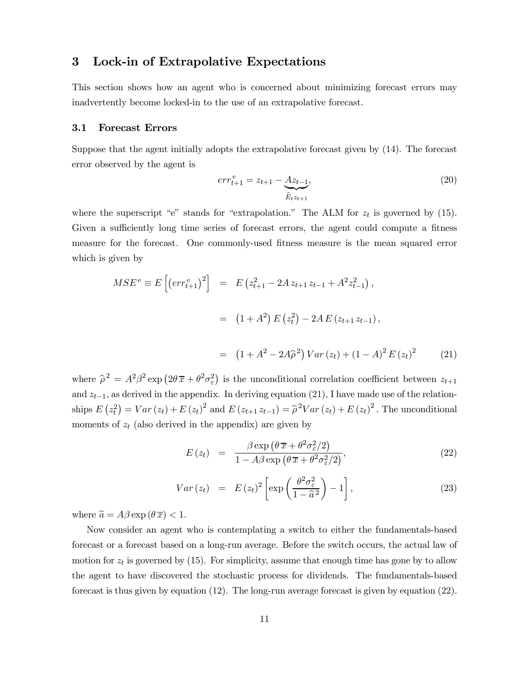### 3 Lock-in of Extrapolative Expectations

This section shows how an agent who is concerned about minimizing forecast errors may inadvertently become locked-in to the use of an extrapolative forecast.

#### 3.1 Forecast Errors

Suppose that the agent initially adopts the extrapolative forecast given by (14). The forecast error observed by the agent is

$$
err_{t+1}^{e} = z_{t+1} - \underbrace{Az_{t-1}}_{\widehat{E}_t z_{t+1}},
$$
\n(20)

where the superscript "e" stands for "extrapolation." The ALM for  $z_t$  is governed by (15). Given a sufficiently long time series of forecast errors, the agent could compute a fitness measure for the forecast. One commonly-used fitness measure is the mean squared error which is given by

$$
MSE^{e} \equiv E\left[\left(err_{t+1}^{e}\right)^{2}\right] = E\left(z_{t+1}^{2} - 2A z_{t+1} z_{t-1} + A^{2} z_{t-1}^{2}\right),
$$
  

$$
= \left(1 + A^{2}\right) E\left(z_{t}^{2}\right) - 2A E\left(z_{t+1} z_{t-1}\right),
$$
  

$$
= \left(1 + A^{2} - 2A\hat{\rho}^{2}\right) Var\left(z_{t}\right) + \left(1 - A\right)^{2} E\left(z_{t}\right)^{2} \tag{21}
$$

where  $\hat{\rho}^2 = A^2 \beta^2 \exp \left( 2\theta \bar{x} + \theta^2 \sigma_\varepsilon^2 \right)$  is the unconditional correlation coefficient between  $z_{t+1}$ and  $z_{t-1}$ , as derived in the appendix. In deriving equation (21), I have made use of the relationships  $E(z_t^2) = Var(z_t) + E(z_t)^2$  and  $E(z_{t+1}z_{t-1}) = \hat{\rho}^2 Var(z_t) + E(z_t)^2$ . The unconditional moments of  $z_t$  (also derived in the appendix) are given by

$$
E(z_t) = \frac{\beta \exp\left(\theta \overline{x} + \theta^2 \sigma_\varepsilon^2 / 2\right)}{1 - A\beta \exp\left(\theta \overline{x} + \theta^2 \sigma_\varepsilon^2 / 2\right)},
$$
\n(22)

$$
Var(z_t) = E(z_t)^2 \left[ \exp\left(\frac{\theta^2 \sigma_{\varepsilon}^2}{1 - \widehat{a}^2}\right) - 1 \right],
$$
\n(23)

where  $\hat{a} = A\beta \exp(\theta \overline{x}) < 1$ .

Now consider an agent who is contemplating a switch to either the fundamentals-based forecast or a forecast based on a long-run average. Before the switch occurs, the actual law of motion for  $z_t$  is governed by (15). For simplicity, assume that enough time has gone by to allow the agent to have discovered the stochastic process for dividends. The fundamentals-based forecast is thus given by equation (12). The long-run average forecast is given by equation (22).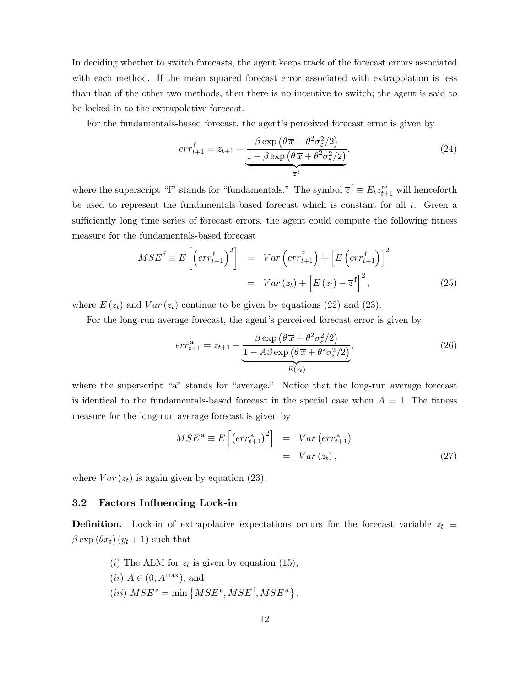In deciding whether to switch forecasts, the agent keeps track of the forecast errors associated with each method. If the mean squared forecast error associated with extrapolation is less than that of the other two methods, then there is no incentive to switch; the agent is said to be locked-in to the extrapolative forecast.

For the fundamentals-based forecast, the agent's perceived forecast error is given by

$$
err_{t+1}^{\{f\}} = z_{t+1} - \underbrace{\frac{\beta \exp\left(\theta \overline{x} + \theta^2 \sigma_{\varepsilon}^2/2\right)}{1 - \beta \exp\left(\theta \overline{x} + \theta^2 \sigma_{\varepsilon}^2/2\right)}}_{\overline{z}^{\{f\}}},\tag{24}
$$

where the superscript "f" stands for "fundamentals." The symbol  $\overline{z}^f \equiv E_t z_{t+1}^{\text{re}}$  will henceforth be used to represent the fundamentals-based forecast which is constant for all t. Given a sufficiently long time series of forecast errors, the agent could compute the following fitness measure for the fundamentals-based forecast

$$
MSE^{f} \equiv E\left[\left(err_{t+1}^{f}\right)^{2}\right] = Var\left(err_{t+1}^{f}\right) + \left[E\left(err_{t+1}^{f}\right)\right]^{2}
$$

$$
= Var\left(z_{t}\right) + \left[E\left(z_{t}\right) - \overline{z}^{f}\right]^{2}, \qquad (25)
$$

where  $E(z_t)$  and  $Var(z_t)$  continue to be given by equations (22) and (23).

For the long-run average forecast, the agent's perceived forecast error is given by

$$
err_{t+1}^{\mathbf{a}} = z_{t+1} - \frac{\beta \exp\left(\theta \overline{x} + \theta^2 \sigma_{\varepsilon}^2 / 2\right)}{1 - A\beta \exp\left(\theta \overline{x} + \theta^2 \sigma_{\varepsilon}^2 / 2\right)},
$$
\n
$$
E(z_t)
$$
\n(26)

where the superscript "a" stands for "average." Notice that the long-run average forecast is identical to the fundamentals-based forecast in the special case when  $A = 1$ . The fitness measure for the long-run average forecast is given by

$$
MSE^{a} \equiv E\left[\left(err_{t+1}^{a}\right)^{2}\right] = Var\left(err_{t+1}^{a}\right)
$$

$$
= Var\left(z_{t}\right), \tag{27}
$$

where  $Var(z_t)$  is again given by equation (23).

#### 3.2 Factors Influencing Lock-in

**Definition.** Lock-in of extrapolative expectations occurs for the forecast variable  $z_t \equiv$  $\beta \exp(\theta x_t)(y_t + 1)$  such that

(i) The ALM for  $z_t$  is given by equation (15),  $(ii)$   $A \in (0, A^{\max})$ , and (iii)  $MSE^e = \min \left\{MSE^e, MSE^f, MSE^a\right\}.$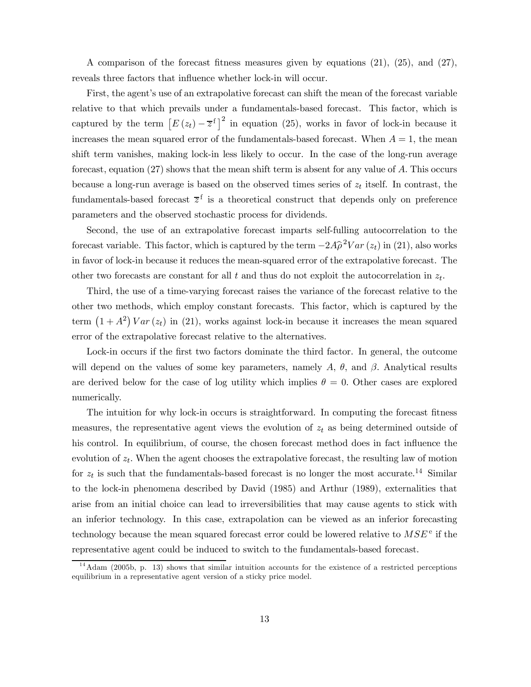A comparison of the forecast fitness measures given by equations (21), (25), and (27), reveals three factors that influence whether lock-in will occur.

First, the agent's use of an extrapolative forecast can shift the mean of the forecast variable relative to that which prevails under a fundamentals-based forecast. This factor, which is captured by the term  $\left[E\left(z_t\right)-\overline{z}^{\mathrm{f}}\right]^2$  in equation (25), works in favor of lock-in because it increases the mean squared error of the fundamentals-based forecast. When  $A = 1$ , the mean shift term vanishes, making lock-in less likely to occur. In the case of the long-run average forecast, equation (27) shows that the mean shift term is absent for any value of A. This occurs because a long-run average is based on the observed times series of  $z_t$  itself. In contrast, the fundamentals-based forecast  $\overline{z}^f$  is a theoretical construct that depends only on preference parameters and the observed stochastic process for dividends.

Second, the use of an extrapolative forecast imparts self-fulling autocorrelation to the forecast variable. This factor, which is captured by the term  $-2A\hat{\rho}^2 Var(z_t)$  in (21), also works in favor of lock-in because it reduces the mean-squared error of the extrapolative forecast. The other two forecasts are constant for all t and thus do not exploit the autocorrelation in  $z_t$ .

Third, the use of a time-varying forecast raises the variance of the forecast relative to the other two methods, which employ constant forecasts. This factor, which is captured by the term  $(1 + A^2) Var(z_t)$  in (21), works against lock-in because it increases the mean squared error of the extrapolative forecast relative to the alternatives.

Lock-in occurs if the first two factors dominate the third factor. In general, the outcome will depend on the values of some key parameters, namely A,  $\theta$ , and  $\beta$ . Analytical results are derived below for the case of log utility which implies  $\theta = 0$ . Other cases are explored numerically.

The intuition for why lock-in occurs is straightforward. In computing the forecast fitness measures, the representative agent views the evolution of  $z_t$  as being determined outside of his control. In equilibrium, of course, the chosen forecast method does in fact influence the evolution of  $z_t$ . When the agent chooses the extrapolative forecast, the resulting law of motion for  $z_t$  is such that the fundamentals-based forecast is no longer the most accurate.<sup>14</sup> Similar to the lock-in phenomena described by David (1985) and Arthur (1989), externalities that arise from an initial choice can lead to irreversibilities that may cause agents to stick with an inferior technology. In this case, extrapolation can be viewed as an inferior forecasting technology because the mean squared forecast error could be lowered relative to  $MSE^e$  if the representative agent could be induced to switch to the fundamentals-based forecast.

 $14$ Adam (2005b, p. 13) shows that similar intuition accounts for the existence of a restricted perceptions equilibrium in a representative agent version of a sticky price model.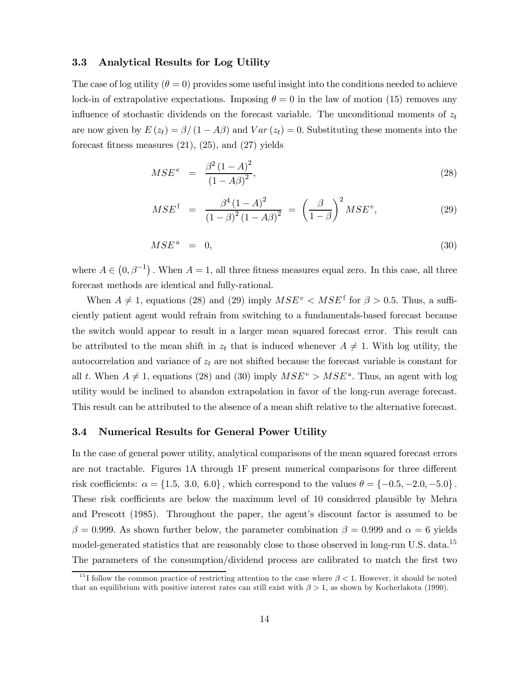#### 3.3 Analytical Results for Log Utility

The case of log utility  $(\theta = 0)$  provides some useful insight into the conditions needed to achieve lock-in of extrapolative expectations. Imposing  $\theta = 0$  in the law of motion (15) removes any influence of stochastic dividends on the forecast variable. The unconditional moments of  $z_t$ are now given by  $E(z_t) = \frac{\beta}{1 - A\beta}$  and  $Var(z_t) = 0$ . Substituting these moments into the forecast fitness measures  $(21)$ ,  $(25)$ , and  $(27)$  yields

$$
MSE^{\text{e}} = \frac{\beta^2 (1 - A)^2}{(1 - A\beta)^2},\tag{28}
$$

$$
MSE^{\text{f}} = \frac{\beta^4 (1 - A)^2}{(1 - \beta)^2 (1 - A\beta)^2} = \left(\frac{\beta}{1 - \beta}\right)^2 MSE^{\text{e}}, \tag{29}
$$

$$
MSE^a = 0,\t\t(30)
$$

where  $A \in (0, \beta^{-1})$ . When  $A = 1$ , all three fitness measures equal zero. In this case, all three forecast methods are identical and fully-rational.

When  $A \neq 1$ , equations (28) and (29) imply  $MSE^e < MSE^f$  for  $\beta > 0.5$ . Thus, a sufficiently patient agent would refrain from switching to a fundamentals-based forecast because the switch would appear to result in a larger mean squared forecast error. This result can be attributed to the mean shift in  $z_t$  that is induced whenever  $A \neq 1$ . With log utility, the autocorrelation and variance of  $z_t$  are not shifted because the forecast variable is constant for all t. When  $A \neq 1$ , equations (28) and (30) imply  $MSE^e > MSE^a$ . Thus, an agent with log utility would be inclined to abandon extrapolation in favor of the long-run average forecast. This result can be attributed to the absence of a mean shift relative to the alternative forecast.

#### 3.4 Numerical Results for General Power Utility

In the case of general power utility, analytical comparisons of the mean squared forecast errors are not tractable. Figures 1A through 1F present numerical comparisons for three different risk coefficients:  $\alpha = \{1.5, 3.0, 6.0\}$ , which correspond to the values  $\theta = \{-0.5, -2.0, -5.0\}$ . These risk coefficients are below the maximum level of 10 considered plausible by Mehra and Prescott (1985). Throughout the paper, the agent's discount factor is assumed to be β = 0.999. As shown further below, the parameter combination  $β = 0.999$  and  $α = 6$  yields model-generated statistics that are reasonably close to those observed in long-run U.S. data.<sup>15</sup> The parameters of the consumption/dividend process are calibrated to match the first two

<sup>&</sup>lt;sup>15</sup>I follow the common practice of restricting attention to the case where  $\beta < 1$ . However, it should be noted that an equilibrium with positive interest rates can still exist with  $\beta > 1$ , as shown by Kocherlakota (1990).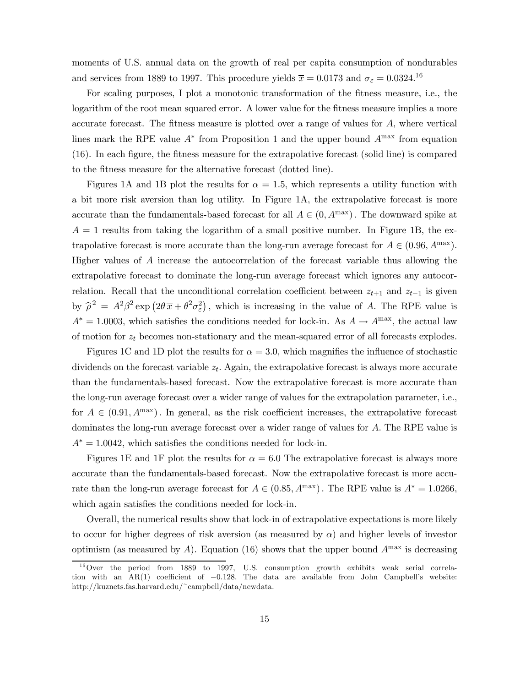moments of U.S. annual data on the growth of real per capita consumption of nondurables and services from 1889 to 1997. This procedure yields  $\bar{x} = 0.0173$  and  $\sigma_{\varepsilon} = 0.0324$ .<sup>16</sup>

For scaling purposes, I plot a monotonic transformation of the fitness measure, i.e., the logarithm of the root mean squared error. A lower value for the fitness measure implies a more accurate forecast. The fitness measure is plotted over a range of values for A, where vertical lines mark the RPE value  $A^*$  from Proposition 1 and the upper bound  $A^{max}$  from equation (16). In each figure, the fitness measure for the extrapolative forecast (solid line) is compared to the fitness measure for the alternative forecast (dotted line).

Figures 1A and 1B plot the results for  $\alpha = 1.5$ , which represents a utility function with a bit more risk aversion than log utility. In Figure 1A, the extrapolative forecast is more accurate than the fundamentals-based forecast for all  $A \in (0, A^{\max})$ . The downward spike at  $A = 1$  results from taking the logarithm of a small positive number. In Figure 1B, the extrapolative forecast is more accurate than the long-run average forecast for  $A \in (0.96, A^{\text{max}})$ . Higher values of A increase the autocorrelation of the forecast variable thus allowing the extrapolative forecast to dominate the long-run average forecast which ignores any autocorrelation. Recall that the unconditional correlation coefficient between  $z_{t+1}$  and  $z_{t-1}$  is given by  $\hat{\rho}^2 = A^2 \beta^2 \exp(2\theta \bar{x} + \theta^2 \sigma_\varepsilon^2)$ , which is increasing in the value of A. The RPE value is  $A^* = 1.0003$ , which satisfies the conditions needed for lock-in. As  $A \to A^{\text{max}}$ , the actual law of motion for  $z_t$  becomes non-stationary and the mean-squared error of all forecasts explodes.

Figures 1C and 1D plot the results for  $\alpha = 3.0$ , which magnifies the influence of stochastic dividends on the forecast variable  $z_t$ . Again, the extrapolative forecast is always more accurate than the fundamentals-based forecast. Now the extrapolative forecast is more accurate than the long-run average forecast over a wider range of values for the extrapolation parameter, i.e., for  $A \in (0.91, A^{\text{max}})$ . In general, as the risk coefficient increases, the extrapolative forecast dominates the long-run average forecast over a wider range of values for A. The RPE value is  $A^* = 1.0042$ , which satisfies the conditions needed for lock-in.

Figures 1E and 1F plot the results for  $\alpha = 6.0$  The extrapolative forecast is always more accurate than the fundamentals-based forecast. Now the extrapolative forecast is more accurate than the long-run average forecast for  $A \in (0.85, A^{\text{max}})$ . The RPE value is  $A^* = 1.0266$ , which again satisfies the conditions needed for lock-in.

Overall, the numerical results show that lock-in of extrapolative expectations is more likely to occur for higher degrees of risk aversion (as measured by  $\alpha$ ) and higher levels of investor optimism (as measured by A). Equation (16) shows that the upper bound  $A^{\max}$  is decreasing

 $^{16}$ Over the period from 1889 to 1997, U.S. consumption growth exhibits weak serial correlation with an AR(1) coefficient of −0.128. The data are available from John Campbell's website: http://kuznets.fas.harvard.edu/~campbell/data/newdata.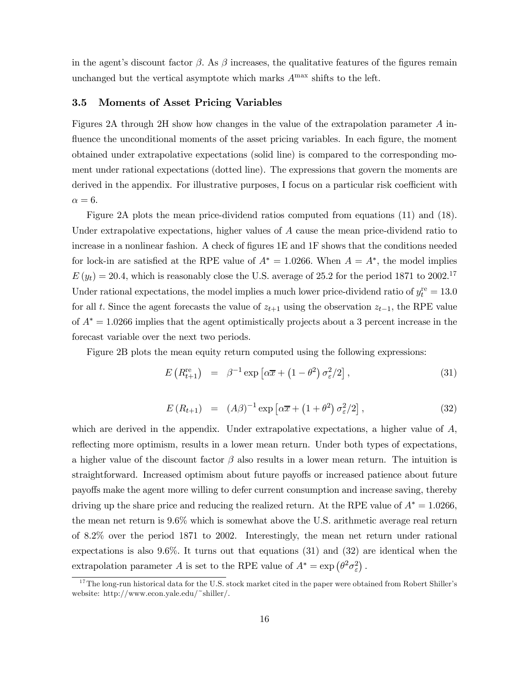in the agent's discount factor  $\beta$ . As  $\beta$  increases, the qualitative features of the figures remain unchanged but the vertical asymptote which marks  $A<sup>max</sup>$  shifts to the left.

#### 3.5 Moments of Asset Pricing Variables

Figures 2A through 2H show how changes in the value of the extrapolation parameter A influence the unconditional moments of the asset pricing variables. In each figure, the moment obtained under extrapolative expectations (solid line) is compared to the corresponding moment under rational expectations (dotted line). The expressions that govern the moments are derived in the appendix. For illustrative purposes, I focus on a particular risk coefficient with  $\alpha = 6$ .

Figure 2A plots the mean price-dividend ratios computed from equations (11) and (18). Under extrapolative expectations, higher values of A cause the mean price-dividend ratio to increase in a nonlinear fashion. A check of figures 1E and 1F shows that the conditions needed for lock-in are satisfied at the RPE value of  $A^* = 1.0266$ . When  $A = A^*$ , the model implies  $E(y_t) = 20.4$ , which is reasonably close the U.S. average of 25.2 for the period 1871 to 2002.<sup>17</sup> Under rational expectations, the model implies a much lower price-dividend ratio of  $y_t^{\text{re}} = 13.0$ for all t. Since the agent forecasts the value of  $z_{t+1}$  using the observation  $z_{t-1}$ , the RPE value of  $A^* = 1.0266$  implies that the agent optimistically projects about a 3 percent increase in the forecast variable over the next two periods.

Figure 2B plots the mean equity return computed using the following expressions:

$$
E\left(R_{t+1}^{\text{re}}\right) = \beta^{-1} \exp\left[\alpha \overline{x} + \left(1 - \theta^2\right) \sigma_\varepsilon^2 / 2\right],\tag{31}
$$

$$
E(R_{t+1}) = (A\beta)^{-1} \exp\left[\alpha \overline{x} + (1+\theta^2) \sigma_\varepsilon^2 / 2\right],\tag{32}
$$

which are derived in the appendix. Under extrapolative expectations, a higher value of A, reflecting more optimism, results in a lower mean return. Under both types of expectations, a higher value of the discount factor  $\beta$  also results in a lower mean return. The intuition is straightforward. Increased optimism about future payoffs or increased patience about future payoffs make the agent more willing to defer current consumption and increase saving, thereby driving up the share price and reducing the realized return. At the RPE value of  $A^* = 1.0266$ , the mean net return is 9.6% which is somewhat above the U.S. arithmetic average real return of 8.2% over the period 1871 to 2002. Interestingly, the mean net return under rational expectations is also  $9.6\%$ . It turns out that equations (31) and (32) are identical when the extrapolation parameter A is set to the RPE value of  $A^* = \exp(\theta^2 \sigma_{\varepsilon}^2)$ .

 $17$ The long-run historical data for the U.S. stock market cited in the paper were obtained from Robert Shiller's website: http://www.econ.yale.edu/~shiller/.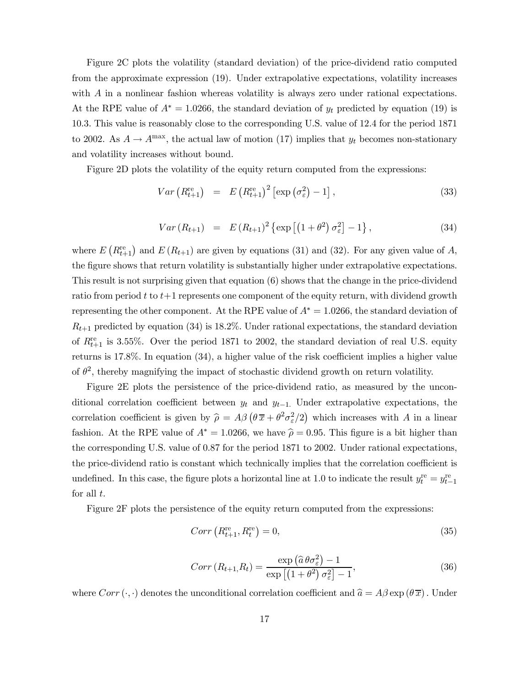Figure 2C plots the volatility (standard deviation) of the price-dividend ratio computed from the approximate expression (19). Under extrapolative expectations, volatility increases with A in a nonlinear fashion whereas volatility is always zero under rational expectations. At the RPE value of  $A^* = 1.0266$ , the standard deviation of  $y_t$  predicted by equation (19) is 10.3. This value is reasonably close to the corresponding U.S. value of 12.4 for the period 1871 to 2002. As  $A \to A^{\text{max}}$ , the actual law of motion (17) implies that  $y_t$  becomes non-stationary and volatility increases without bound.

Figure 2D plots the volatility of the equity return computed from the expressions:

$$
Var\left(R_{t+1}^{\text{re}}\right) = E\left(R_{t+1}^{\text{re}}\right)^2 \left[\exp\left(\sigma_{\varepsilon}^2\right) - 1\right],\tag{33}
$$

$$
Var(R_{t+1}) = E(R_{t+1})^2 \{ \exp [(1+\theta^2) \sigma_{\varepsilon}^2] - 1 \}, \qquad (34)
$$

where  $E\left(R_{t+1}^{\text{re}}\right)$  and  $E\left(R_{t+1}\right)$  are given by equations (31) and (32). For any given value of A, the figure shows that return volatility is substantially higher under extrapolative expectations. This result is not surprising given that equation (6) shows that the change in the price-dividend ratio from period t to  $t+1$  represents one component of the equity return, with dividend growth representing the other component. At the RPE value of  $A^* = 1.0266$ , the standard deviation of  $R_{t+1}$  predicted by equation (34) is 18.2%. Under rational expectations, the standard deviation of  $R_{t+1}^{\text{re}}$  is 3.55%. Over the period 1871 to 2002, the standard deviation of real U.S. equity returns is 17.8%. In equation (34), a higher value of the risk coefficient implies a higher value of  $\theta^2$ , thereby magnifying the impact of stochastic dividend growth on return volatility.

Figure 2E plots the persistence of the price-dividend ratio, as measured by the unconditional correlation coefficient between  $y_t$  and  $y_{t-1}$ . Under extrapolative expectations, the correlation coefficient is given by  $\hat{\rho} = A\beta \left(\theta \bar{x} + \theta^2 \sigma_{\varepsilon}^2/2\right)$  which increases with A in a linear fashion. At the RPE value of  $A^* = 1.0266$ , we have  $\hat{\rho} = 0.95$ . This figure is a bit higher than the corresponding U.S. value of 0.87 for the period 1871 to 2002. Under rational expectations, the price-dividend ratio is constant which technically implies that the correlation coefficient is undefined. In this case, the figure plots a horizontal line at 1.0 to indicate the result  $y_t^{\text{re}} = y_{t-1}^{\text{re}}$ for all  $t$ .

Figure 2F plots the persistence of the equity return computed from the expressions:

$$
Corr\left(R_{t+1}^{\text{re}}, R_t^{\text{re}}\right) = 0,\tag{35}
$$

$$
Corr(R_{t+1},R_t) = \frac{\exp\left(\widehat{a}\theta\sigma_{\varepsilon}^2\right) - 1}{\exp\left[\left(1 + \theta^2\right)\sigma_{\varepsilon}^2\right] - 1},\tag{36}
$$

where  $Corr (\cdot, \cdot)$  denotes the unconditional correlation coefficient and  $\hat{a} = A\beta \exp (\theta \overline{x})$ . Under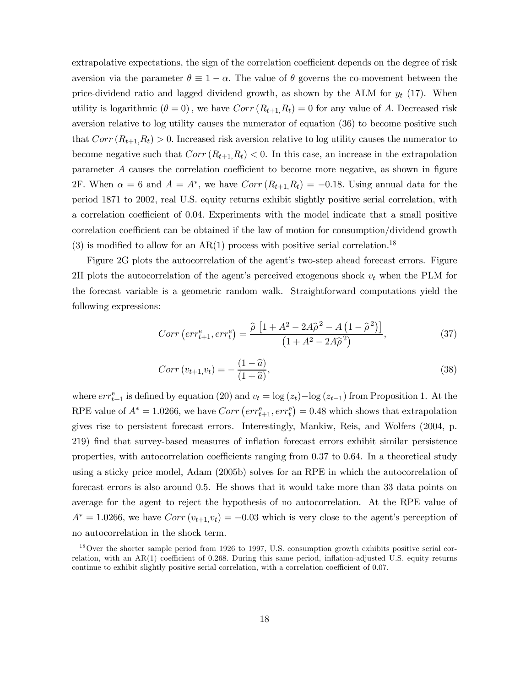extrapolative expectations, the sign of the correlation coefficient depends on the degree of risk aversion via the parameter  $\theta \equiv 1 - \alpha$ . The value of  $\theta$  governs the co-movement between the price-dividend ratio and lagged dividend growth, as shown by the ALM for  $y_t$  (17). When utility is logarithmic  $(\theta = 0)$ , we have  $Corr(R_{t+1}, R_t) = 0$  for any value of A. Decreased risk aversion relative to log utility causes the numerator of equation (36) to become positive such that  $Corr(R_{t+1},R_t) > 0$ . Increased risk aversion relative to log utility causes the numerator to become negative such that  $Corr(R_{t+1},R_t) < 0$ . In this case, an increase in the extrapolation parameter A causes the correlation coefficient to become more negative, as shown in figure 2F. When  $\alpha = 6$  and  $A = A^*$ , we have  $Corr(R_{t+1}, R_t) = -0.18$ . Using annual data for the period 1871 to 2002, real U.S. equity returns exhibit slightly positive serial correlation, with a correlation coefficient of 0.04. Experiments with the model indicate that a small positive correlation coefficient can be obtained if the law of motion for consumption/dividend growth (3) is modified to allow for an  $AR(1)$  process with positive serial correlation.<sup>18</sup>

Figure 2G plots the autocorrelation of the agent's two-step ahead forecast errors. Figure 2H plots the autocorrelation of the agent's perceived exogenous shock  $v_t$  when the PLM for the forecast variable is a geometric random walk. Straightforward computations yield the following expressions:

$$
Corr\left(err_{t+1}^{e}, err_{t}^{e}\right) = \frac{\hat{\rho}\left[1 + A^{2} - 2A\hat{\rho}^{2} - A\left(1 - \hat{\rho}^{2}\right)\right]}{\left(1 + A^{2} - 2A\hat{\rho}^{2}\right)},
$$
\n(37)

$$
Corr(v_{t+1}, v_t) = -\frac{(1-\hat{a})}{(1+\hat{a})},
$$
\n(38)

where  $err_{t+1}^e$  is defined by equation (20) and  $v_t = \log(z_t) - \log(z_{t-1})$  from Proposition 1. At the RPE value of  $A^* = 1.0266$ , we have  $Corr\left( err_{t+1}^e, err_t^e \right) = 0.48$  which shows that extrapolation gives rise to persistent forecast errors. Interestingly, Mankiw, Reis, and Wolfers (2004, p. 219) find that survey-based measures of inflation forecast errors exhibit similar persistence properties, with autocorrelation coefficients ranging from 0.37 to 0.64. In a theoretical study using a sticky price model, Adam (2005b) solves for an RPE in which the autocorrelation of forecast errors is also around 0.5. He shows that it would take more than 33 data points on average for the agent to reject the hypothesis of no autocorrelation. At the RPE value of  $A^* = 1.0266$ , we have  $Corr(v_{t+1}, v_t) = -0.03$  which is very close to the agent's perception of no autocorrelation in the shock term.

 $18$ Over the shorter sample period from 1926 to 1997, U.S. consumption growth exhibits positive serial correlation, with an AR(1) coefficient of 0.268. During this same period, inflation-adjusted U.S. equity returns continue to exhibit slightly positive serial correlation, with a correlation coefficient of 0.07.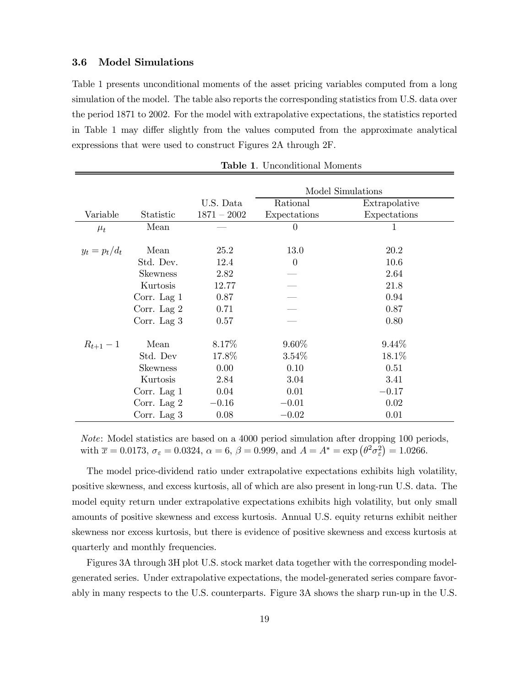#### 3.6 Model Simulations

Table 1 presents unconditional moments of the asset pricing variables computed from a long simulation of the model. The table also reports the corresponding statistics from U.S. data over the period 1871 to 2002. For the model with extrapolative expectations, the statistics reported in Table 1 may differ slightly from the values computed from the approximate analytical expressions that were used to construct Figures 2A through 2F.

|                 |                 |               | Model Simulations |               |  |
|-----------------|-----------------|---------------|-------------------|---------------|--|
|                 |                 | U.S. Data     | Rational          | Extrapolative |  |
| Variable        | Statistic       | $1871 - 2002$ | Expectations      | Expectations  |  |
| $\mu_t$         | Mean            |               | $\Omega$          | 1             |  |
|                 |                 |               |                   |               |  |
| $y_t = p_t/d_t$ | Mean            | 25.2          | 13.0              | 20.2          |  |
|                 | Std. Dev.       | 12.4          | $\theta$          | 10.6          |  |
|                 | <b>Skewness</b> | 2.82          |                   | 2.64          |  |
|                 | Kurtosis        | 12.77         |                   | 21.8          |  |
|                 | Corr. Lag $1$   | 0.87          |                   | 0.94          |  |
|                 | Corr. Lag 2     | 0.71          |                   | 0.87          |  |
|                 | Corr. Lag $3$   | 0.57          |                   | 0.80          |  |
| $R_{t+1} - 1$   | Mean            | 8.17\%        | $9.60\%$          | $9.44\%$      |  |
|                 | Std. Dev        | 17.8%         | $3.54\%$          | 18.1%         |  |
|                 | <b>Skewness</b> | 0.00          | 0.10              | 0.51          |  |
|                 | Kurtosis        | 2.84          | 3.04              | 3.41          |  |
|                 | Corr. Lag $1$   | 0.04          | 0.01              | $-0.17$       |  |
|                 | Corr. Lag $2$   | $-0.16$       | $-0.01$           | 0.02          |  |
|                 | Corr. Lag $3$   | 0.08          | $-0.02$           | 0.01          |  |

Table 1. Unconditional Moments

Note: Model statistics are based on a 4000 period simulation after dropping 100 periods, with  $\bar{x} = 0.0173$ ,  $\sigma_{\varepsilon} = 0.0324$ ,  $\alpha = 6$ ,  $\beta = 0.999$ , and  $A = A^* = \exp(\theta^2 \sigma_{\varepsilon}^2) = 1.0266$ .

The model price-dividend ratio under extrapolative expectations exhibits high volatility, positive skewness, and excess kurtosis, all of which are also present in long-run U.S. data. The model equity return under extrapolative expectations exhibits high volatility, but only small amounts of positive skewness and excess kurtosis. Annual U.S. equity returns exhibit neither skewness nor excess kurtosis, but there is evidence of positive skewness and excess kurtosis at quarterly and monthly frequencies.

Figures 3A through 3H plot U.S. stock market data together with the corresponding modelgenerated series. Under extrapolative expectations, the model-generated series compare favorably in many respects to the U.S. counterparts. Figure 3A shows the sharp run-up in the U.S.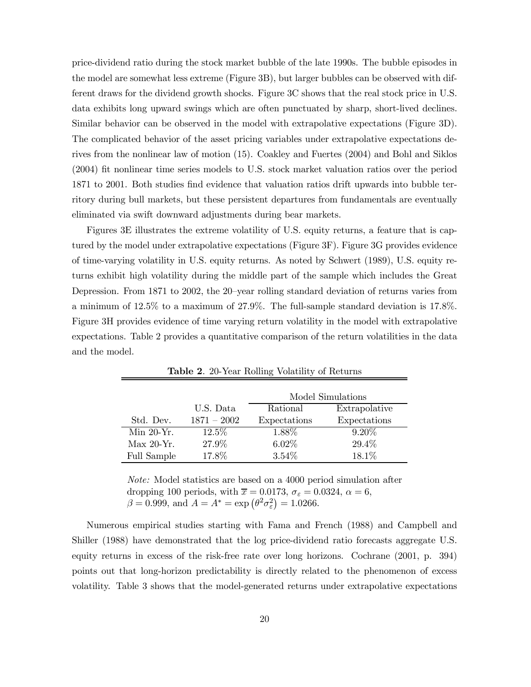price-dividend ratio during the stock market bubble of the late 1990s. The bubble episodes in the model are somewhat less extreme (Figure 3B), but larger bubbles can be observed with different draws for the dividend growth shocks. Figure 3C shows that the real stock price in U.S. data exhibits long upward swings which are often punctuated by sharp, short-lived declines. Similar behavior can be observed in the model with extrapolative expectations (Figure 3D). The complicated behavior of the asset pricing variables under extrapolative expectations derives from the nonlinear law of motion (15). Coakley and Fuertes (2004) and Bohl and Siklos (2004) fit nonlinear time series models to U.S. stock market valuation ratios over the period 1871 to 2001. Both studies find evidence that valuation ratios drift upwards into bubble territory during bull markets, but these persistent departures from fundamentals are eventually eliminated via swift downward adjustments during bear markets.

Figures 3E illustrates the extreme volatility of U.S. equity returns, a feature that is captured by the model under extrapolative expectations (Figure 3F). Figure 3G provides evidence of time-varying volatility in U.S. equity returns. As noted by Schwert (1989), U.S. equity returns exhibit high volatility during the middle part of the sample which includes the Great Depression. From 1871 to 2002, the 20-year rolling standard deviation of returns varies from a minimum of 12.5% to a maximum of 27.9%. The full-sample standard deviation is 17.8%. Figure 3H provides evidence of time varying return volatility in the model with extrapolative expectations. Table 2 provides a quantitative comparison of the return volatilities in the data and the model.

|              |               | Model Simulations |               |  |
|--------------|---------------|-------------------|---------------|--|
|              | U.S. Data     | Rational          | Extrapolative |  |
| Std. Dev.    | $1871 - 2002$ | Expectations      | Expectations  |  |
| $Min 20-Yr.$ | $12.5\%$      | 1.88%             | $9.20\%$      |  |
| $Max 20-Yr.$ | 27.9%         | $6.02\%$          | 29.4%         |  |
| Full Sample  | 17.8%         | $3.54\%$          | 18.1%         |  |

Table 2. 20-Year Rolling Volatility of Returns

Note: Model statistics are based on a 4000 period simulation after dropping 100 periods, with  $\bar{x} = 0.0173$ ,  $\sigma_{\varepsilon} = 0.0324$ ,  $\alpha = 6$ ,  $\beta = 0.999$ , and  $A = A^* = \exp(\theta^2 \sigma_\varepsilon^2) = 1.0266$ .

Numerous empirical studies starting with Fama and French (1988) and Campbell and Shiller (1988) have demonstrated that the log price-dividend ratio forecasts aggregate U.S. equity returns in excess of the risk-free rate over long horizons. Cochrane (2001, p. 394) points out that long-horizon predictability is directly related to the phenomenon of excess volatility. Table 3 shows that the model-generated returns under extrapolative expectations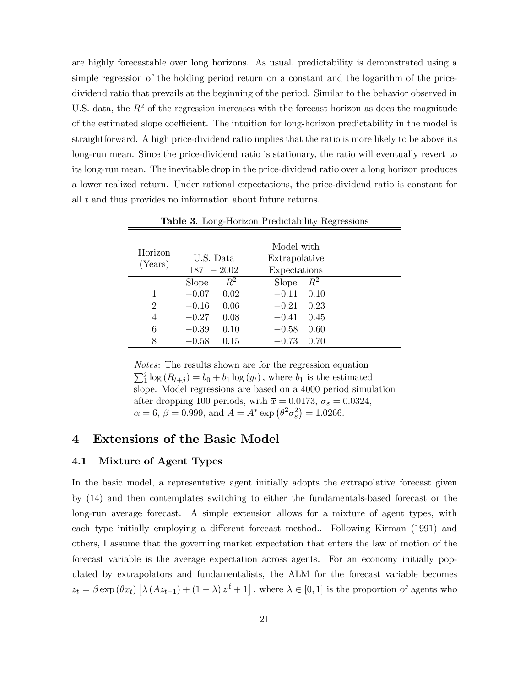are highly forecastable over long horizons. As usual, predictability is demonstrated using a simple regression of the holding period return on a constant and the logarithm of the pricedividend ratio that prevails at the beginning of the period. Similar to the behavior observed in U.S. data, the  $R^2$  of the regression increases with the forecast horizon as does the magnitude of the estimated slope coefficient. The intuition for long-horizon predictability in the model is straightforward. A high price-dividend ratio implies that the ratio is more likely to be above its long-run mean. Since the price-dividend ratio is stationary, the ratio will eventually revert to its long-run mean. The inevitable drop in the price-dividend ratio over a long horizon produces a lower realized return. Under rational expectations, the price-dividend ratio is constant for all t and thus provides no information about future returns.

| Horizon<br>(Years) | U.S. Data<br>$1871 - 2002$ |         | Model with<br>Extrapolative<br>Expectations |       |
|--------------------|----------------------------|---------|---------------------------------------------|-------|
|                    | <b>Slope</b>               | $\,R^2$ | <b>Slope</b>                                | $R^2$ |
|                    | $-0.07$                    | 0.02    | $-0.11$                                     | 0.10  |
| $\overline{2}$     | $-0.16$                    | 0.06    | $-0.21$                                     | 0.23  |
| 4                  | $-0.27$                    | 0.08    | $-0.41$                                     | 0.45  |
| 6                  | $-0.39$                    | 0.10    | $-0.58$                                     | 0.60  |
| 8                  | $-0.58$                    | 0.15    | $-0.73$                                     | 0.70  |

Table 3. Long-Horizon Predictability Regressions

Notes: The results shown are for the regression equation  $\sum_{1}^{j} \log(R_{t+j}) = b_0 + b_1 \log(y_t)$ , where  $b_1$  is the estimated slope. Model regressions are based on a 4000 period simulation after dropping 100 periods, with  $\overline{x} = 0.0173$ ,  $\sigma_{\varepsilon} = 0.0324$ ,  $\alpha = 6, \beta = 0.999, \text{ and } A = A^* \exp \left( \theta^2 \sigma_{\varepsilon}^2 \right) = 1.0266.$ 

### 4 Extensions of the Basic Model

#### 4.1 Mixture of Agent Types

In the basic model, a representative agent initially adopts the extrapolative forecast given by (14) and then contemplates switching to either the fundamentals-based forecast or the long-run average forecast. A simple extension allows for a mixture of agent types, with each type initially employing a different forecast method.. Following Kirman (1991) and others, I assume that the governing market expectation that enters the law of motion of the forecast variable is the average expectation across agents. For an economy initially populated by extrapolators and fundamentalists, the ALM for the forecast variable becomes  $z_t = \beta \exp(\theta x_t) \left[ \lambda (Az_{t-1}) + (1-\lambda)\overline{z}^{\text{f}} + 1 \right]$ , where  $\lambda \in [0,1]$  is the proportion of agents who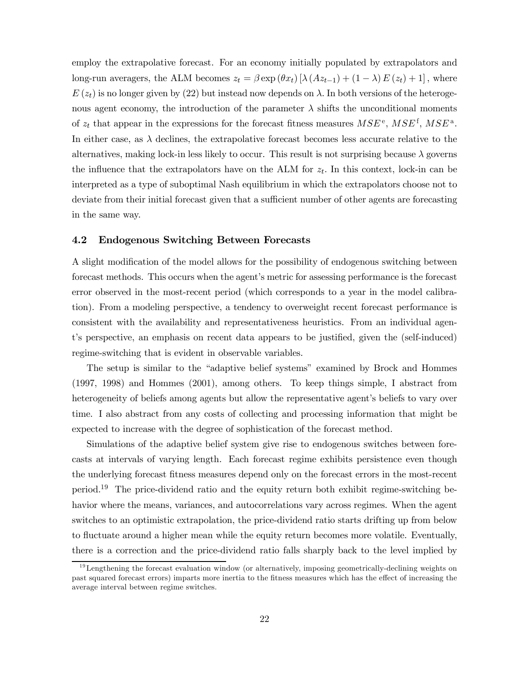employ the extrapolative forecast. For an economy initially populated by extrapolators and long-run averagers, the ALM becomes  $z_t = \beta \exp(\theta x_t) [\lambda (Az_{t-1}) + (1 - \lambda) E(z_t) + 1]$ , where  $E(z_t)$  is no longer given by (22) but instead now depends on  $\lambda$ . In both versions of the heterogenous agent economy, the introduction of the parameter  $\lambda$  shifts the unconditional moments of  $z_t$  that appear in the expressions for the forecast fitness measures  $MSE^e$ ,  $MSE^f$ ,  $MSE^a$ . In either case, as  $\lambda$  declines, the extrapolative forecast becomes less accurate relative to the alternatives, making lock-in less likely to occur. This result is not surprising because  $\lambda$  governs the influence that the extrapolators have on the ALM for  $z_t$ . In this context, lock-in can be interpreted as a type of suboptimal Nash equilibrium in which the extrapolators choose not to deviate from their initial forecast given that a sufficient number of other agents are forecasting in the same way.

#### 4.2 Endogenous Switching Between Forecasts

A slight modification of the model allows for the possibility of endogenous switching between forecast methods. This occurs when the agent's metric for assessing performance is the forecast error observed in the most-recent period (which corresponds to a year in the model calibration). From a modeling perspective, a tendency to overweight recent forecast performance is consistent with the availability and representativeness heuristics. From an individual agent's perspective, an emphasis on recent data appears to be justified, given the (self-induced) regime-switching that is evident in observable variables.

The setup is similar to the "adaptive belief systems" examined by Brock and Hommes (1997, 1998) and Hommes (2001), among others. To keep things simple, I abstract from heterogeneity of beliefs among agents but allow the representative agent's beliefs to vary over time. I also abstract from any costs of collecting and processing information that might be expected to increase with the degree of sophistication of the forecast method.

Simulations of the adaptive belief system give rise to endogenous switches between forecasts at intervals of varying length. Each forecast regime exhibits persistence even though the underlying forecast fitness measures depend only on the forecast errors in the most-recent period.19 The price-dividend ratio and the equity return both exhibit regime-switching behavior where the means, variances, and autocorrelations vary across regimes. When the agent switches to an optimistic extrapolation, the price-dividend ratio starts drifting up from below to fluctuate around a higher mean while the equity return becomes more volatile. Eventually, there is a correction and the price-dividend ratio falls sharply back to the level implied by

 $19$ Lengthening the forecast evaluation window (or alternatively, imposing geometrically-declining weights on past squared forecast errors) imparts more inertia to the fitness measures which has the effect of increasing the average interval between regime switches.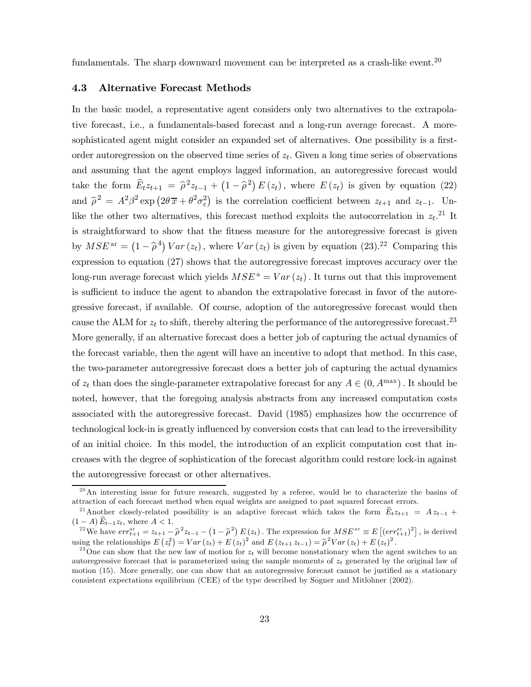fundamentals. The sharp downward movement can be interpreted as a crash-like event.<sup>20</sup>

#### 4.3 Alternative Forecast Methods

In the basic model, a representative agent considers only two alternatives to the extrapolative forecast, i.e., a fundamentals-based forecast and a long-run average forecast. A moresophisticated agent might consider an expanded set of alternatives. One possibility is a firstorder autoregression on the observed time series of  $z_t$ . Given a long time series of observations and assuming that the agent employs lagged information, an autoregressive forecast would take the form  $\widehat{E}_t z_{t+1} = \widehat{\rho}^2 z_{t-1} + (1 - \widehat{\rho}^2) E(z_t)$ , where  $E(z_t)$  is given by equation (22) and  $\hat{\rho}^2 = A^2 \beta^2 \exp \left( 2\theta \bar{x} + \theta^2 \sigma_\varepsilon^2 \right)$  is the correlation coefficient between  $z_{t+1}$  and  $z_{t-1}$ . Unlike the other two alternatives, this forecast method exploits the autocorrelation in  $z_t$ .<sup>21</sup> It is straightforward to show that the fitness measure for the autoregressive forecast is given by  $MSE^{\text{ar}} = (1 - \hat{\rho}^4) Var(z_t)$ , where  $Var(z_t)$  is given by equation (23).<sup>22</sup> Comparing this expression to equation (27) shows that the autoregressive forecast improves accuracy over the long-run average forecast which yields  $MSE^a = Var(z_t)$ . It turns out that this improvement is sufficient to induce the agent to abandon the extrapolative forecast in favor of the autoregressive forecast, if available. Of course, adoption of the autoregressive forecast would then cause the ALM for  $z_t$  to shift, thereby altering the performance of the autoregressive forecast.<sup>23</sup> More generally, if an alternative forecast does a better job of capturing the actual dynamics of the forecast variable, then the agent will have an incentive to adopt that method. In this case, the two-parameter autoregressive forecast does a better job of capturing the actual dynamics of  $z_t$  than does the single-parameter extrapolative forecast for any  $A \in (0, A^{\max})$ . It should be noted, however, that the foregoing analysis abstracts from any increased computation costs associated with the autoregressive forecast. David (1985) emphasizes how the occurrence of technological lock-in is greatly influenced by conversion costs that can lead to the irreversibility of an initial choice. In this model, the introduction of an explicit computation cost that increases with the degree of sophistication of the forecast algorithm could restore lock-in against the autoregressive forecast or other alternatives.

 $20$ An interesting issue for future research, suggested by a referee, would be to characterize the basins of attraction of each forecast method when equal weights are assigned to past squared forecast errors.

<sup>&</sup>lt;sup>21</sup> Another closely-related possibility is an adaptive forecast which takes the form  $\hat{E}_t z_{t+1} = Az_{t-1} + (1-A)\hat{E}_{t-1}z_t$ , where  $A < 1$ .

 $(1-A) E_{t-1} z_t$ , where  $A < 1$ .<br>
<sup>22</sup>We have  $err_{t+1}^{ar} = z_{t+1} - \hat{\rho}^2 z_{t-1} - (1 - \hat{\rho}^2) E(z_t)$ . The expression for  $MSE^{ar} \equiv E[(err_{t+1}^{ar})^2]$ , is derived using the relationships  $E(z_t^2) = Var(z_t) + E(z_t)^2$  and  $E(z_{t+1}z_{t-1}) = \hat{\rho}^2 Var(z_t) + E(z_t)^2$ .

<sup>&</sup>lt;sup>23</sup>One can show that the new law of motion for  $z_t$  will become nonstationary when the agent switches to an autoregressive forecast that is parameterized using the sample moments of  $z_t$  generated by the original law of motion (15). More generally, one can show that an autoregressive forecast cannot be justified as a stationary consistent expectations equilibrium (CEE) of the type described by Sögner and Mitlöhner (2002).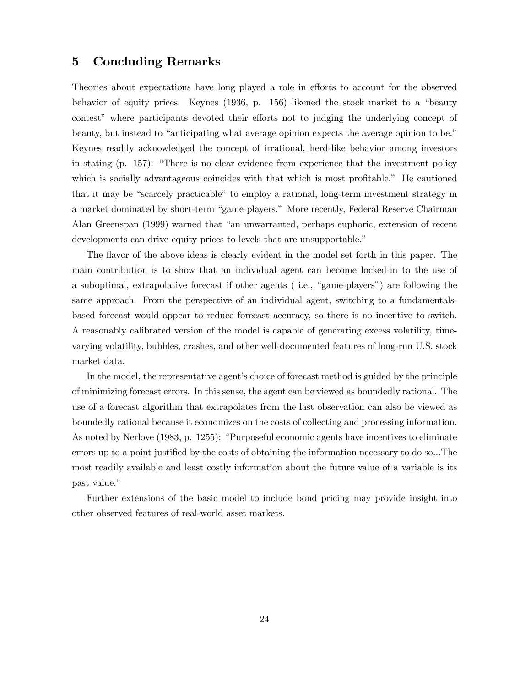### 5 Concluding Remarks

Theories about expectations have long played a role in efforts to account for the observed behavior of equity prices. Keynes (1936, p. 156) likened the stock market to a "beauty contest" where participants devoted their efforts not to judging the underlying concept of beauty, but instead to "anticipating what average opinion expects the average opinion to be." Keynes readily acknowledged the concept of irrational, herd-like behavior among investors in stating (p. 157): "There is no clear evidence from experience that the investment policy which is socially advantageous coincides with that which is most profitable." He cautioned that it may be "scarcely practicable" to employ a rational, long-term investment strategy in a market dominated by short-term "game-players." More recently, Federal Reserve Chairman Alan Greenspan (1999) warned that "an unwarranted, perhaps euphoric, extension of recent developments can drive equity prices to levels that are unsupportable."

The flavor of the above ideas is clearly evident in the model set forth in this paper. The main contribution is to show that an individual agent can become locked-in to the use of a suboptimal, extrapolative forecast if other agents ( i.e., "game-players") are following the same approach. From the perspective of an individual agent, switching to a fundamentalsbased forecast would appear to reduce forecast accuracy, so there is no incentive to switch. A reasonably calibrated version of the model is capable of generating excess volatility, timevarying volatility, bubbles, crashes, and other well-documented features of long-run U.S. stock market data.

In the model, the representative agent's choice of forecast method is guided by the principle of minimizing forecast errors. In this sense, the agent can be viewed as boundedly rational. The use of a forecast algorithm that extrapolates from the last observation can also be viewed as boundedly rational because it economizes on the costs of collecting and processing information. As noted by Nerlove (1983, p. 1255): "Purposeful economic agents have incentives to eliminate errors up to a point justified by the costs of obtaining the information necessary to do so...The most readily available and least costly information about the future value of a variable is its past value."

Further extensions of the basic model to include bond pricing may provide insight into other observed features of real-world asset markets.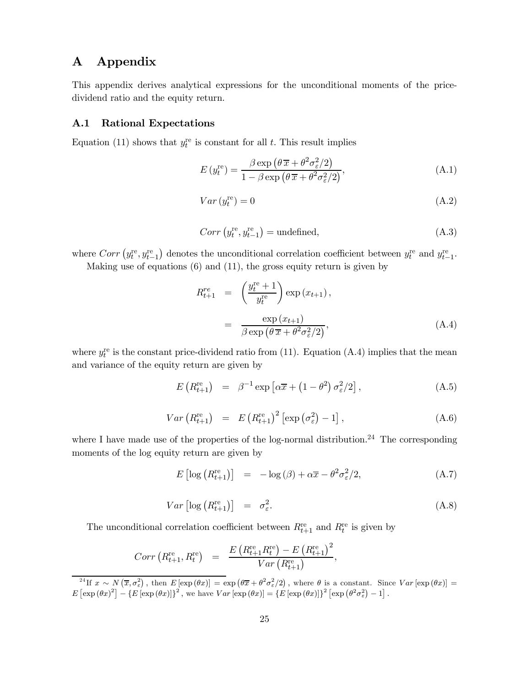### A Appendix

This appendix derives analytical expressions for the unconditional moments of the pricedividend ratio and the equity return.

#### A.1 Rational Expectations

Equation (11) shows that  $y_t^{\text{re}}$  is constant for all t. This result implies

$$
E(y_t^{\text{re}}) = \frac{\beta \exp\left(\theta \overline{x} + \theta^2 \sigma_\varepsilon^2 / 2\right)}{1 - \beta \exp\left(\theta \overline{x} + \theta^2 \sigma_\varepsilon^2 / 2\right)},\tag{A.1}
$$

$$
Var\left(y_t^{\text{re}}\right) = 0\tag{A.2}
$$

$$
Corr\left(y_t^{\text{re}}, y_{t-1}^{\text{re}}\right) = \text{undefined},\tag{A.3}
$$

where  $Corr\left(y_t^{\text{re}}, y_{t-1}^{\text{re}}\right)$  denotes the unconditional correlation coefficient between  $y_t^{\text{re}}$  and  $y_{t-1}^{\text{re}}$ .

Making use of equations (6) and (11), the gross equity return is given by

$$
R_{t+1}^{re} = \left(\frac{y_t^{re} + 1}{y_t^{re}}\right) \exp\left(x_{t+1}\right),
$$
  

$$
= \frac{\exp\left(x_{t+1}\right)}{\beta \exp\left(\theta \overline{x} + \theta^2 \sigma_{\varepsilon}^2/2\right)},
$$
(A.4)

where  $y_t^{\text{re}}$  is the constant price-dividend ratio from (11). Equation (A.4) implies that the mean and variance of the equity return are given by

$$
E\left(R_{t+1}^{\text{re}}\right) = \beta^{-1} \exp\left[\alpha \overline{x} + \left(1 - \theta^2\right) \sigma_\varepsilon^2 / 2\right],\tag{A.5}
$$

$$
Var\left(R_{t+1}^{\text{re}}\right) = E\left(R_{t+1}^{\text{re}}\right)^2 \left[\exp\left(\sigma_{\varepsilon}^2\right) - 1\right],\tag{A.6}
$$

where I have made use of the properties of the log-normal distribution.<sup>24</sup> The corresponding moments of the log equity return are given by

$$
E\left[\log\left(R_{t+1}^{\text{re}}\right)\right] = -\log\left(\beta\right) + \alpha\overline{x} - \theta^2\sigma_{\varepsilon}^2/2,\tag{A.7}
$$

$$
Var\left[\log\left(R_{t+1}^{\text{re}}\right)\right] = \sigma_{\varepsilon}^{2}.
$$
\n(A.8)

The unconditional correlation coefficient between  $R_{t+1}^{\text{re}}$  and  $R_t^{\text{re}}$  is given by

$$
Corr (R_{t+1}^{\text{re}}, R_t^{\text{re}}) = \frac{E (R_{t+1}^{\text{re}} R_t^{\text{re}}) - E (R_{t+1}^{\text{re}})^2}{Var (R_{t+1}^{\text{re}})},
$$

<sup>&</sup>lt;sup>24</sup>If  $x \sim N(\bar{x}, \sigma_{\varepsilon}^2)$ , then  $E[\exp(\theta x)] = \exp(\theta \bar{x} + \theta^2 \sigma_{\varepsilon}^2/2)$ , where  $\theta$  is a constant. Since  $Var[\exp(\theta x)] =$  $E\left[\exp(\theta x)^2\right] - \left\{E\left[\exp(\theta x)\right]\right\}^2$ , we have  $Var\left[\exp(\theta x)\right] = \left\{E\left[\exp(\theta x)\right]\right\}^2 \left[\exp(\theta^2 \sigma_{\varepsilon}^2) - 1\right]$ .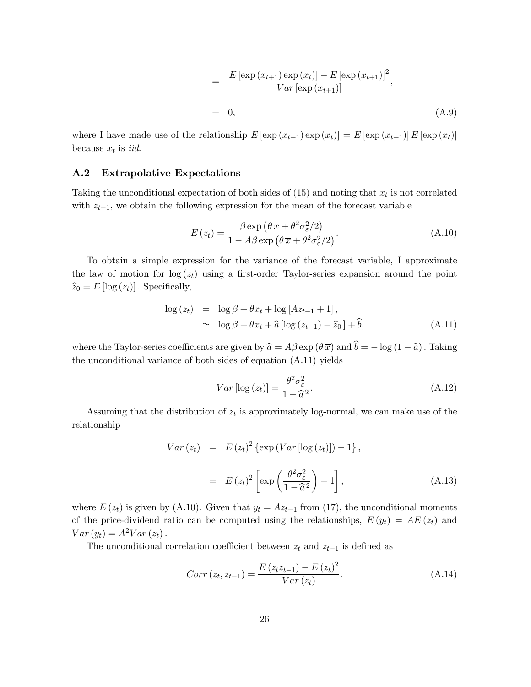$$
= \frac{E\left[\exp\left(x_{t+1}\right)\exp\left(x_{t}\right)\right] - E\left[\exp\left(x_{t+1}\right)\right]^{2}}{Var\left[\exp\left(x_{t+1}\right)\right]},
$$
  
= 0, (A.9)

where I have made use of the relationship  $E\left[\exp\left(x_{t+1}\right)\exp\left(x_{t}\right)\right] = E\left[\exp\left(x_{t+1}\right)]E\left[\exp\left(x_{t}\right)\right]$ because  $x_t$  is *iid.* 

#### A.2 Extrapolative Expectations

Taking the unconditional expectation of both sides of  $(15)$  and noting that  $x_t$  is not correlated with  $z_{t-1}$ , we obtain the following expression for the mean of the forecast variable

$$
E(z_t) = \frac{\beta \exp\left(\theta \overline{x} + \theta^2 \sigma_\varepsilon^2 / 2\right)}{1 - A\beta \exp\left(\theta \overline{x} + \theta^2 \sigma_\varepsilon^2 / 2\right)}.
$$
 (A.10)

To obtain a simple expression for the variance of the forecast variable, I approximate the law of motion for  $log(z_t)$  using a first-order Taylor-series expansion around the point  $\widehat{z}_0 = E [\log (z_t)]$ . Specifically,

$$
\log(z_t) = \log \beta + \theta x_t + \log [Az_{t-1} + 1],
$$
  
\n
$$
\simeq \log \beta + \theta x_t + \hat{a} [\log (z_{t-1}) - \hat{z}_0] + \hat{b},
$$
 (A.11)

where the Taylor-series coefficients are given by  $\hat{a} = A\beta \exp(\theta \overline{x})$  and  $\hat{b} = -\log(1 - \hat{a})$ . Taking the unconditional variance of both sides of equation (A.11) yields

$$
Var\left[\log\left(z_t\right)\right] = \frac{\theta^2 \sigma_{\varepsilon}^2}{1 - \widehat{a}^2}.
$$
\n(A.12)

Assuming that the distribution of  $z_t$  is approximately log-normal, we can make use of the relationship

$$
Var(z_t) = E(z_t)^2 \left\{ \exp(Var \left[ \log(z_t) \right] \right) - 1 \right\},
$$
  

$$
= E(z_t)^2 \left[ \exp\left(\frac{\theta^2 \sigma_{\varepsilon}^2}{1 - \hat{a}^2} \right) - 1 \right],
$$
 (A.13)

where  $E(z_t)$  is given by (A.10). Given that  $y_t = Az_{t-1}$  from (17), the unconditional moments of the price-dividend ratio can be computed using the relationships,  $E(y_t) = AE(z_t)$  and  $Var(y_t) = A^2Var(z_t)$ .

The unconditional correlation coefficient between  $z_t$  and  $z_{t-1}$  is defined as

$$
Corr(z_t, z_{t-1}) = \frac{E(z_t z_{t-1}) - E(z_t)^2}{Var(z_t)}.
$$
\n(A.14)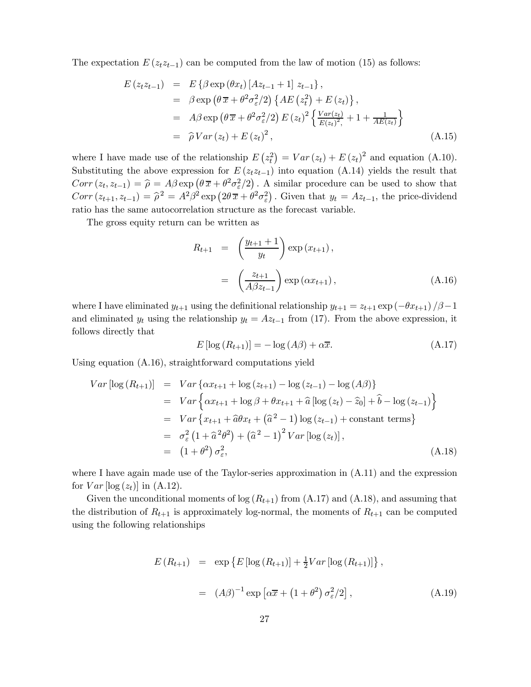The expectation  $E(z_t z_{t-1})$  can be computed from the law of motion (15) as follows:

$$
E(z_{t}z_{t-1}) = E\{\beta \exp(\theta x_{t}) [Az_{t-1} + 1] z_{t-1}\},
$$
  
\n
$$
= \beta \exp(\theta \overline{x} + \theta^{2}\sigma_{\varepsilon}^{2}/2) \{AE(z_{t}^{2}) + E(z_{t})\},
$$
  
\n
$$
= A\beta \exp(\theta \overline{x} + \theta^{2}\sigma_{\varepsilon}^{2}/2) E(z_{t})^{2} \{\frac{Var(z_{t})}{E(z_{t})^{2}} + 1 + \frac{1}{AE(z_{t})}\}
$$
  
\n
$$
= \widehat{\rho} Var(z_{t}) + E(z_{t})^{2},
$$
\n(A.15)

where I have made use of the relationship  $E(z_t^2) = Var(z_t) + E(z_t)^2$  and equation (A.10). Substituting the above expression for  $E(z_t z_{t-1})$  into equation (A.14) yields the result that  $Corr(z_t, z_{t-1}) = \hat{\rho} = A\beta \exp\left(\theta \bar{x} + \theta^2 \sigma_{\varepsilon}^2/2\right)$ . A similar procedure can be used to show that  $Corr(z_{t+1}, z_{t-1}) = \hat{\rho}^2 = A^2 \beta^2 \exp(2\theta \bar{x} + \theta^2 \sigma_{\varepsilon}^2)$ . Given that  $y_t = Az_{t-1}$ , the price-dividend ratio has the same autocorrelation structure as the forecast variable.

The gross equity return can be written as

$$
R_{t+1} = \left(\frac{y_{t+1}+1}{y_t}\right) \exp\left(x_{t+1}\right),
$$
  

$$
= \left(\frac{z_{t+1}}{A\beta z_{t-1}}\right) \exp\left(\alpha x_{t+1}\right), \tag{A.16}
$$

where I have eliminated  $y_{t+1}$  using the definitional relationship  $y_{t+1} = z_{t+1} \exp(-\theta x_{t+1})/\beta - 1$ and eliminated  $y_t$  using the relationship  $y_t = Az_{t-1}$  from (17). From the above expression, it follows directly that

$$
E\left[\log\left(R_{t+1}\right)\right] = -\log\left(A\beta\right) + \alpha \overline{x}.\tag{A.17}
$$

Using equation (A.16), straightforward computations yield

$$
Var \left[ \log (R_{t+1}) \right] = Var \left\{ \alpha x_{t+1} + \log (z_{t+1}) - \log (z_{t-1}) - \log (A\beta) \right\}
$$
  
\n
$$
= Var \left\{ \alpha x_{t+1} + \log \beta + \theta x_{t+1} + \hat{a} \left[ \log (z_t) - \hat{z}_0 \right] + \hat{b} - \log (z_{t-1}) \right\}
$$
  
\n
$$
= Var \left\{ x_{t+1} + \hat{a} \theta x_t + (\hat{a}^2 - 1) \log (z_{t-1}) + \text{constant terms} \right\}
$$
  
\n
$$
= \sigma_{\varepsilon}^2 \left( 1 + \hat{a}^2 \theta^2 \right) + (\hat{a}^2 - 1)^2 Var \left[ \log (z_t) \right],
$$
  
\n
$$
= (1 + \theta^2) \sigma_{\varepsilon}^2, \tag{A.18}
$$

where I have again made use of the Taylor-series approximation in (A.11) and the expression for  $Var$  [log  $(z_t)$ ] in (A.12).

Given the unconditional moments of  $log(R_{t+1})$  from  $(A.17)$  and  $(A.18)$ , and assuming that the distribution of  $R_{t+1}$  is approximately log-normal, the moments of  $R_{t+1}$  can be computed using the following relationships

$$
E(R_{t+1}) = \exp \{ E [\log (R_{t+1})] + \frac{1}{2}Var [\log (R_{t+1})] \},
$$
  

$$
= (A\beta)^{-1} \exp [\alpha \overline{x} + (1 + \theta^2) \sigma_{\varepsilon}^2 / 2], \qquad (A.19)
$$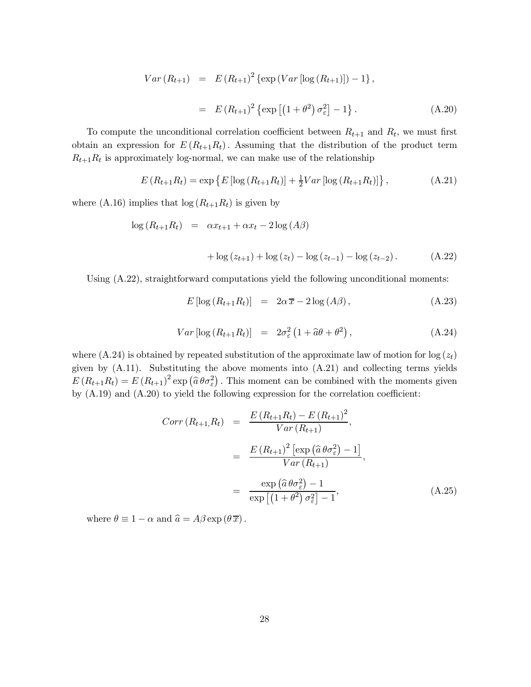$$
Var(R_{t+1}) = E(R_{t+1})^2 \{ \exp(Var[\log(R_{t+1})]) - 1 \},
$$
  
=  $E(R_{t+1})^2 \{ \exp[(1+\theta^2)\sigma_{\varepsilon}^2] - 1 \}.$  (A.20)

To compute the unconditional correlation coefficient between  $R_{t+1}$  and  $R_t$ , we must first obtain an expression for  $E(R_{t+1}R_t)$ . Assuming that the distribution of the product term  $R_{t+1}R_t$  is approximately log-normal, we can make use of the relationship

$$
E(R_{t+1}R_t) = \exp\left\{E\left[\log\left(R_{t+1}R_t\right)\right] + \frac{1}{2}Var\left[\log\left(R_{t+1}R_t\right)\right]\right\},\tag{A.21}
$$

where (A.16) implies that  $\log(R_{t+1}R_t)$  is given by

$$
\log(R_{t+1}R_t) = \alpha x_{t+1} + \alpha x_t - 2\log(A\beta)
$$

+ log 
$$
(z_{t+1})
$$
 + log  $(z_t)$  – log  $(z_{t-1})$  – log  $(z_{t-2})$ . (A.22)

Using (A.22), straightforward computations yield the following unconditional moments:

$$
E\left[\log\left(R_{t+1}R_t\right)\right] = 2\alpha \overline{x} - 2\log\left(A\beta\right),\tag{A.23}
$$

$$
Var\left[\log\left(R_{t+1}R_t\right)\right] = 2\sigma_{\varepsilon}^2 \left(1 + \widehat{a}\theta + \theta^2\right),\tag{A.24}
$$

where  $(A.24)$  is obtained by repeated substitution of the approximate law of motion for log  $(z_t)$ given by (A.11). Substituting the above moments into (A.21) and collecting terms yields  $E(R_{t+1}R_t) = E(R_{t+1})^2 \exp(\hat{a}\theta \sigma_{\varepsilon}^2)$ . This moment can be combined with the moments given by (A.19) and (A.20) to yield the following expression for the correlation coefficient:

$$
Corr (R_{t+1}, R_t) = \frac{E (R_{t+1}R_t) - E (R_{t+1})^2}{Var (R_{t+1})},
$$
  

$$
= \frac{E (R_{t+1})^2 [\exp (\hat{a} \theta \sigma_{\varepsilon}^2) - 1]}{Var (R_{t+1})},
$$
  

$$
= \frac{\exp (\hat{a} \theta \sigma_{\varepsilon}^2) - 1}{\exp [(1 + \theta^2) \sigma_{\varepsilon}^2] - 1},
$$
(A.25)

where  $\theta \equiv 1 - \alpha$  and  $\hat{a} = A\beta \exp(\theta \overline{x})$ .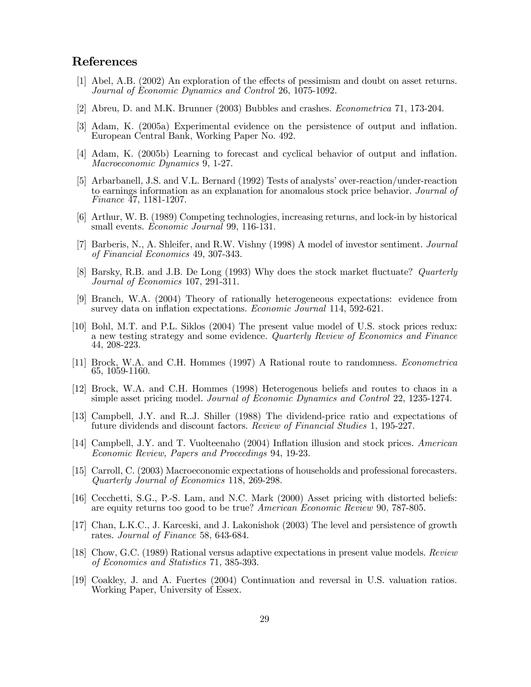### References

- [1] Abel, A.B. (2002) An exploration of the effects of pessimism and doubt on asset returns. Journal of Economic Dynamics and Control 26, 1075-1092.
- [2] Abreu, D. and M.K. Brunner (2003) Bubbles and crashes. Econometrica 71, 173-204.
- [3] Adam, K. (2005a) Experimental evidence on the persistence of output and inflation. European Central Bank, Working Paper No. 492.
- [4] Adam, K. (2005b) Learning to forecast and cyclical behavior of output and inflation. Macroeconomic Dynamics 9, 1-27.
- [5] Arbarbanell, J.S. and V.L. Bernard (1992) Tests of analysts' over-reaction/under-reaction to earnings information as an explanation for anomalous stock price behavior. Journal of Finance 47, 1181-1207.
- [6] Arthur, W. B. (1989) Competing technologies, increasing returns, and lock-in by historical small events. Economic Journal 99, 116-131.
- [7] Barberis, N., A. Shleifer, and R.W. Vishny (1998) A model of investor sentiment. Journal of Financial Economics 49, 307-343.
- [8] Barsky, R.B. and J.B. De Long (1993) Why does the stock market fluctuate? Quarterly Journal of Economics 107, 291-311.
- [9] Branch, W.A. (2004) Theory of rationally heterogeneous expectations: evidence from survey data on inflation expectations. Economic Journal 114, 592-621.
- [10] Bohl, M.T. and P.L. Siklos (2004) The present value model of U.S. stock prices redux: a new testing strategy and some evidence. Quarterly Review of Economics and Finance 44, 208-223.
- [11] Brock, W.A. and C.H. Hommes (1997) A Rational route to randomness. Econometrica 65, 1059-1160.
- [12] Brock, W.A. and C.H. Hommes (1998) Heterogenous beliefs and routes to chaos in a simple asset pricing model. Journal of Economic Dynamics and Control 22, 1235-1274.
- [13] Campbell, J.Y. and R..J. Shiller (1988) The dividend-price ratio and expectations of future dividends and discount factors. Review of Financial Studies 1, 195-227.
- [14] Campbell, J.Y. and T. Vuolteenaho (2004) Inflation illusion and stock prices. American Economic Review, Papers and Proceedings 94, 19-23.
- [15] Carroll, C. (2003) Macroeconomic expectations of households and professional forecasters. Quarterly Journal of Economics 118, 269-298.
- [16] Cecchetti, S.G., P.-S. Lam, and N.C. Mark (2000) Asset pricing with distorted beliefs: are equity returns too good to be true? American Economic Review 90, 787-805.
- [17] Chan, L.K.C., J. Karceski, and J. Lakonishok (2003) The level and persistence of growth rates. Journal of Finance 58, 643-684.
- [18] Chow, G.C. (1989) Rational versus adaptive expectations in present value models. Review of Economics and Statistics 71, 385-393.
- [19] Coakley, J. and A. Fuertes (2004) Continuation and reversal in U.S. valuation ratios. Working Paper, University of Essex.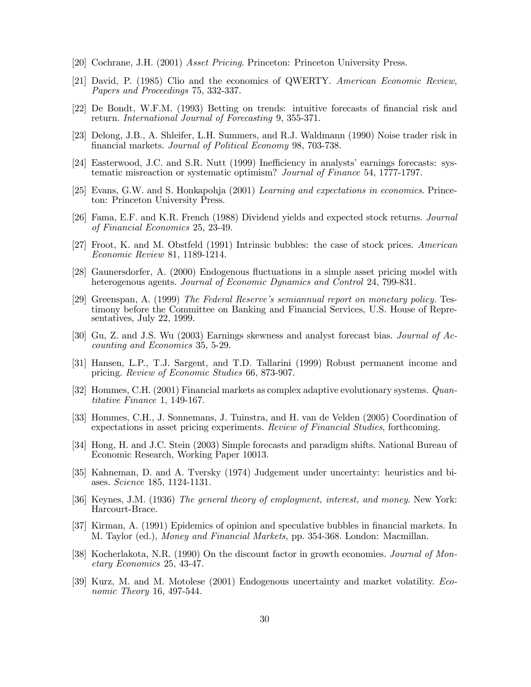- [20] Cochrane, J.H. (2001) Asset Pricing. Princeton: Princeton University Press.
- [21] David, P. (1985) Clio and the economics of QWERTY. American Economic Review, Papers and Proceedings 75, 332-337.
- [22] De Bondt, W.F.M. (1993) Betting on trends: intuitive forecasts of financial risk and return. International Journal of Forecasting 9, 355-371.
- [23] Delong, J.B., A. Shleifer, L.H. Summers, and R.J. Waldmann (1990) Noise trader risk in financial markets. Journal of Political Economy 98, 703-738.
- [24] Easterwood, J.C. and S.R. Nutt (1999) Inefficiency in analysts' earnings forecasts: systematic misreaction or systematic optimism? Journal of Finance 54, 1777-1797.
- [25] Evans, G.W. and S. Honkapohja (2001) Learning and expectations in economics. Princeton: Princeton University Press.
- [26] Fama, E.F. and K.R. French (1988) Dividend yields and expected stock returns. Journal of Financial Economics 25, 23-49.
- [27] Froot, K. and M. Obstfeld (1991) Intrinsic bubbles: the case of stock prices. American Economic Review 81, 1189-1214.
- [28] Gaunersdorfer, A. (2000) Endogenous fluctuations in a simple asset pricing model with heterogenous agents. Journal of Economic Dynamics and Control 24, 799-831.
- [29] Greenspan, A. (1999) The Federal Reserve's semiannual report on monetary policy. Testimony before the Committee on Banking and Financial Services, U.S. House of Representatives, July 22, 1999.
- [30] Gu, Z. and J.S. Wu (2003) Earnings skewness and analyst forecast bias. Journal of Accounting and Economics 35, 5-29.
- [31] Hansen, L.P., T.J. Sargent, and T.D. Tallarini (1999) Robust permanent income and pricing. Review of Economic Studies 66, 873-907.
- [32] Hommes, C.H. (2001) Financial markets as complex adaptive evolutionary systems. Quantitative Finance 1, 149-167.
- [33] Hommes, C.H., J. Sonnemans, J. Tuinstra, and H. van de Velden (2005) Coordination of expectations in asset pricing experiments. Review of Financial Studies, forthcoming.
- [34] Hong, H. and J.C. Stein (2003) Simple forecasts and paradigm shifts. National Bureau of Economic Research, Working Paper 10013.
- [35] Kahneman, D. and A. Tversky (1974) Judgement under uncertainty: heuristics and biases. Science 185, 1124-1131.
- [36] Keynes, J.M. (1936) The general theory of employment, interest, and money. New York: Harcourt-Brace.
- [37] Kirman, A. (1991) Epidemics of opinion and speculative bubbles in financial markets. In M. Taylor (ed.), Money and Financial Markets, pp. 354-368. London: Macmillan.
- [38] Kocherlakota, N.R. (1990) On the discount factor in growth economies. Journal of Monetary Economics 25, 43-47.
- [39] Kurz, M. and M. Motolese (2001) Endogenous uncertainty and market volatility. Economic Theory 16, 497-544.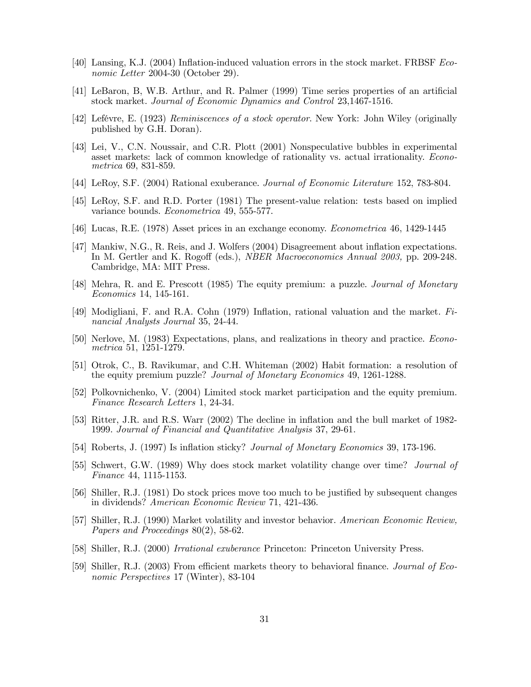- [40] Lansing, K.J. (2004) Inflation-induced valuation errors in the stock market. FRBSF Economic Letter 2004-30 (October 29).
- [41] LeBaron, B, W.B. Arthur, and R. Palmer (1999) Time series properties of an artificial stock market. Journal of Economic Dynamics and Control 23,1467-1516.
- [42] Lefévre, E. (1923) Reminiscences of a stock operator. New York: John Wiley (originally published by G.H. Doran).
- [43] Lei, V., C.N. Noussair, and C.R. Plott (2001) Nonspeculative bubbles in experimental asset markets: lack of common knowledge of rationality vs. actual irrationality. Econometrica 69, 831-859.
- [44] LeRoy, S.F. (2004) Rational exuberance. Journal of Economic Literature 152, 783-804.
- [45] LeRoy, S.F. and R.D. Porter (1981) The present-value relation: tests based on implied variance bounds. Econometrica 49, 555-577.
- [46] Lucas, R.E. (1978) Asset prices in an exchange economy. Econometrica 46, 1429-1445
- [47] Mankiw, N.G., R. Reis, and J. Wolfers (2004) Disagreement about inflation expectations. In M. Gertler and K. Rogoff (eds.), NBER Macroeconomics Annual 2003, pp. 209-248. Cambridge, MA: MIT Press.
- [48] Mehra, R. and E. Prescott (1985) The equity premium: a puzzle. Journal of Monetary Economics 14, 145-161.
- [49] Modigliani, F. and R.A. Cohn (1979) Inflation, rational valuation and the market. Financial Analysts Journal 35, 24-44.
- [50] Nerlove, M. (1983) Expectations, plans, and realizations in theory and practice. Econometrica 51, 1251-1279.
- [51] Otrok, C., B. Ravikumar, and C.H. Whiteman (2002) Habit formation: a resolution of the equity premium puzzle? Journal of Monetary Economics 49, 1261-1288.
- [52] Polkovnichenko, V. (2004) Limited stock market participation and the equity premium. Finance Research Letters 1, 24-34.
- [53] Ritter, J.R. and R.S. Warr (2002) The decline in inflation and the bull market of 1982- 1999. Journal of Financial and Quantitative Analysis 37, 29-61.
- [54] Roberts, J. (1997) Is inflation sticky? Journal of Monetary Economics 39, 173-196.
- [55] Schwert, G.W. (1989) Why does stock market volatility change over time? Journal of Finance 44, 1115-1153.
- [56] Shiller, R.J. (1981) Do stock prices move too much to be justified by subsequent changes in dividends? American Economic Review 71, 421-436.
- [57] Shiller, R.J. (1990) Market volatility and investor behavior. American Economic Review, Papers and Proceedings 80(2), 58-62.
- [58] Shiller, R.J. (2000) Irrational exuberance Princeton: Princeton University Press.
- [59] Shiller, R.J. (2003) From efficient markets theory to behavioral finance. Journal of Economic Perspectives 17 (Winter), 83-104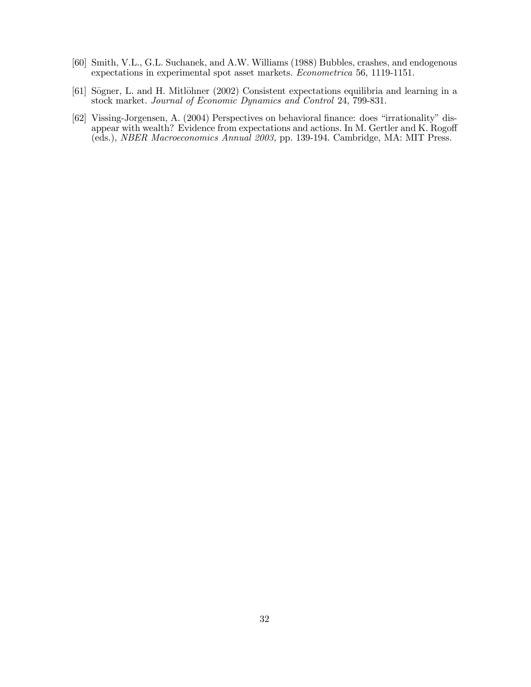- [60] Smith, V.L., G.L. Suchanek, and A.W. Williams (1988) Bubbles, crashes, and endogenous expectations in experimental spot asset markets. Econometrica 56, 1119-1151.
- [61] Sögner, L. and H. Mitlöhner (2002) Consistent expectations equilibria and learning in a stock market. Journal of Economic Dynamics and Control 24, 799-831.
- [62] Vissing-Jorgensen, A. (2004) Perspectives on behavioral finance: does "irrationality" disappear with wealth? Evidence from expectations and actions. In M. Gertler and K. Rogoff (eds.), NBER Macroeconomics Annual 2003, pp. 139-194. Cambridge, MA: MIT Press.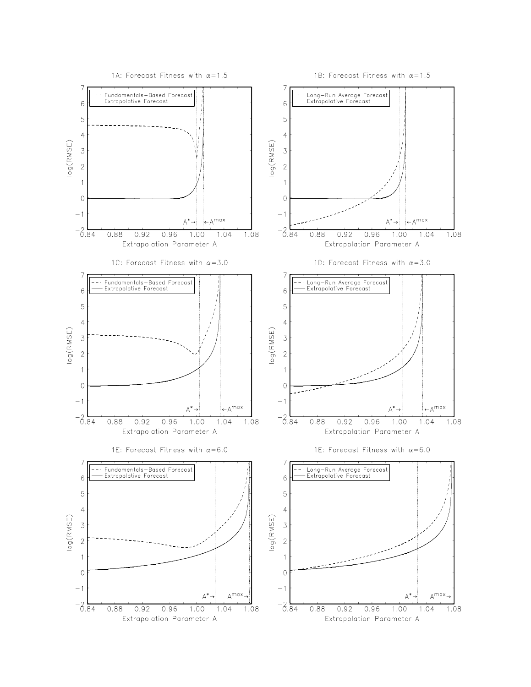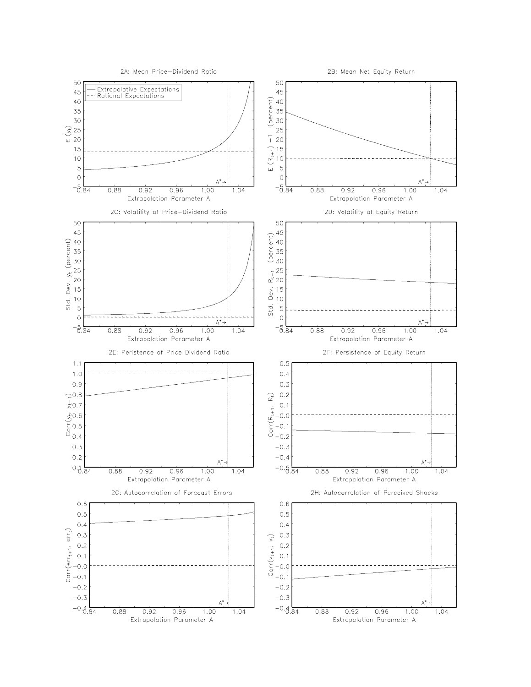